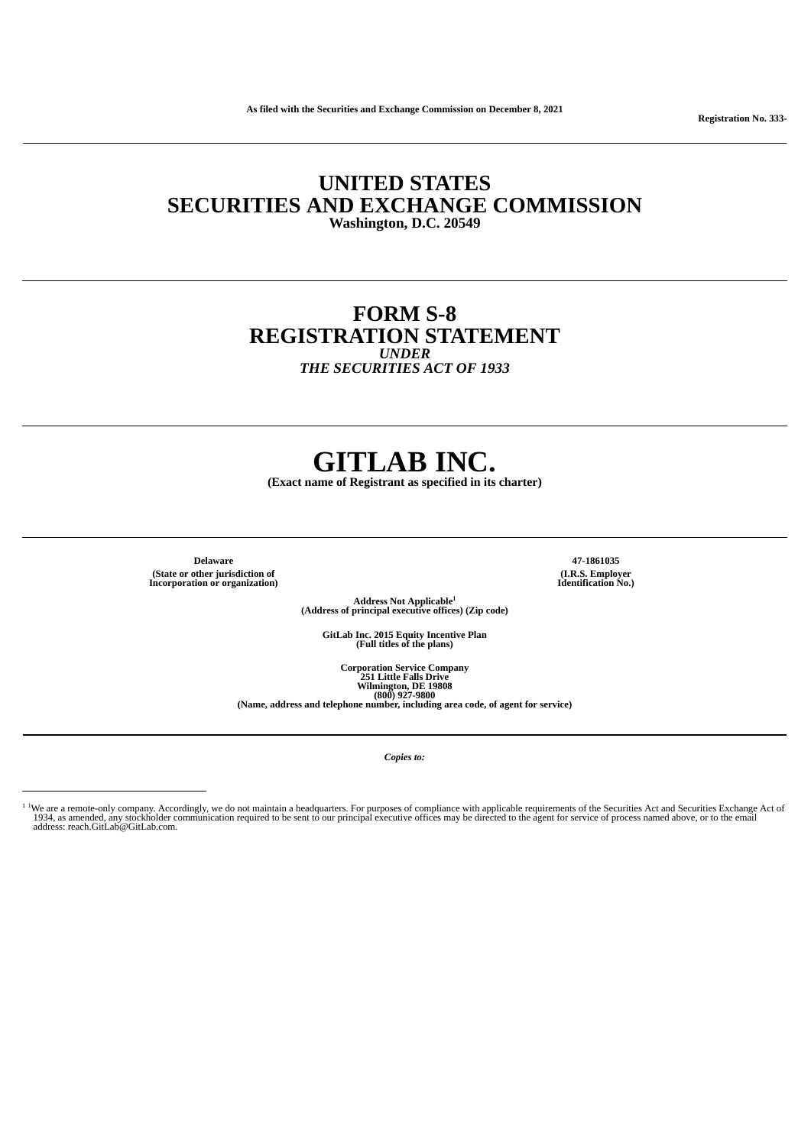**UNITED STATES SECURITIES AND EXCHANGE COMMISSION Washington, D.C. 20549**

# **FORM S-8 REGISTRATION STATEMENT** *UNDER*

*THE SECURITIES ACT OF 1933*

# **GITLAB INC.**

**(Exact name of Registrant as specified in its charter)**

**Delaware 47-1861035 (State or other jurisdiction of Incorporation or organization)**

**(I.R.S. Employer Identification No.)**

**Address Not Applicable (Address of principal executive offices) (Zip code) 1**

**GitLab Inc. 2015 Equity Incentive Plan (Full titles of the plans)**

**Corporation Service Company <sup>251</sup> Little Falls Drive Wilmington, DE <sup>19808</sup> (800) 927-9800**

**(Name, address and telephone number, including area code, of agent for service)**

*Copies to:*

**Registration No. 333-**

We are a remote-only company. Accordingly, we do not maintain a headquarters. For purposes of compliance with applicable requirements of the Securities Act and Securities Exchange Act of<br>1934, as amended, any stockholder c 1 1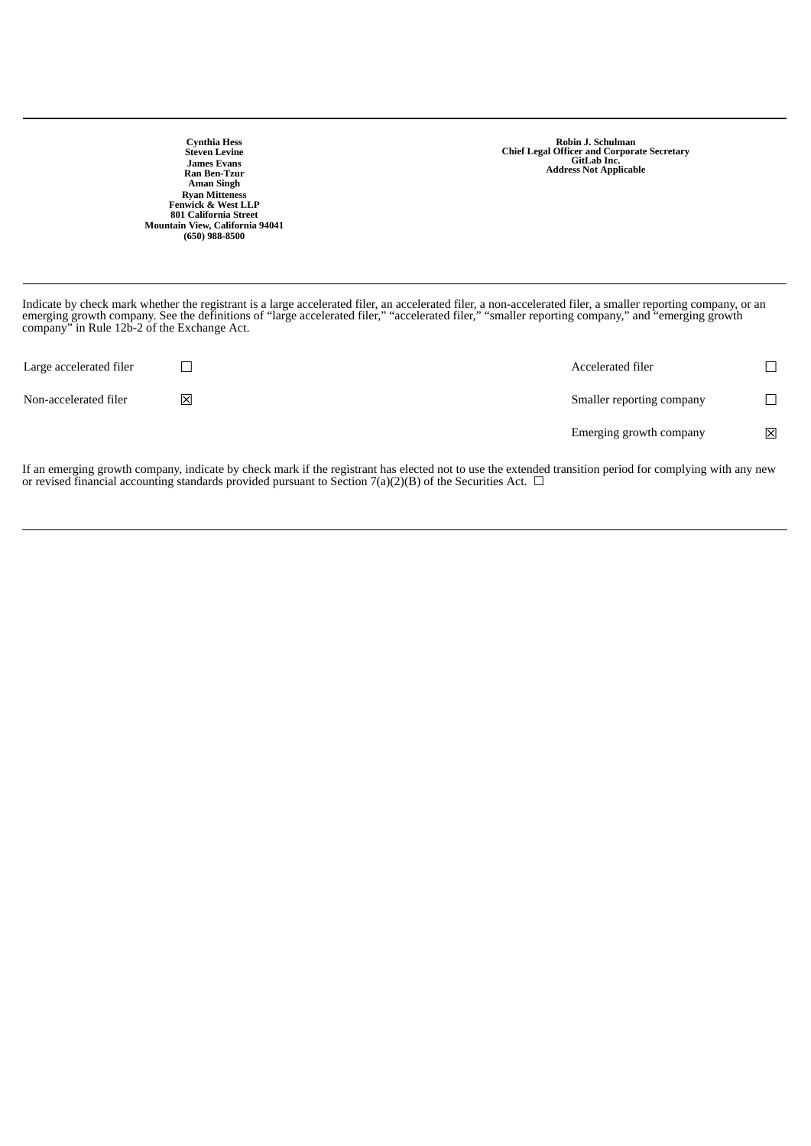**Cynthia Hess Steven Levine James Evans Ran Ben-Tzur Aman Singh Ryan Mitteness Fenwick & West LLP 801 California Street Mountain View, California 94041 (650) 988-8500** **Robin J. Schulman Chief Legal Officer and Corporate Secretary GitLab Inc. Address Not Applicable**

Indicate by check mark whether the registrant is a large accelerated filer, an accelerated filer, a non-accelerated filer, a smaller reporting company, or an emerging growth company. See the definitions of "large accelerated filer," "accelerated filer," "smaller reporting company," and "emerging growth company" in Rule 12b-2 of the Exchange Act.

| Large accelerated filer |   | Accelerated filer         | ┓           |
|-------------------------|---|---------------------------|-------------|
| Non-accelerated filer   | 区 | Smaller reporting company | $\Box$      |
|                         |   | Emerging growth company   | $\boxtimes$ |

If an emerging growth company, indicate by check mark if the registrant has elected not to use the extended transition period for complying with any new or revised financial accounting standards provided pursuant to Section 7(a)(2)(B) of the Securities Act.  $\Box$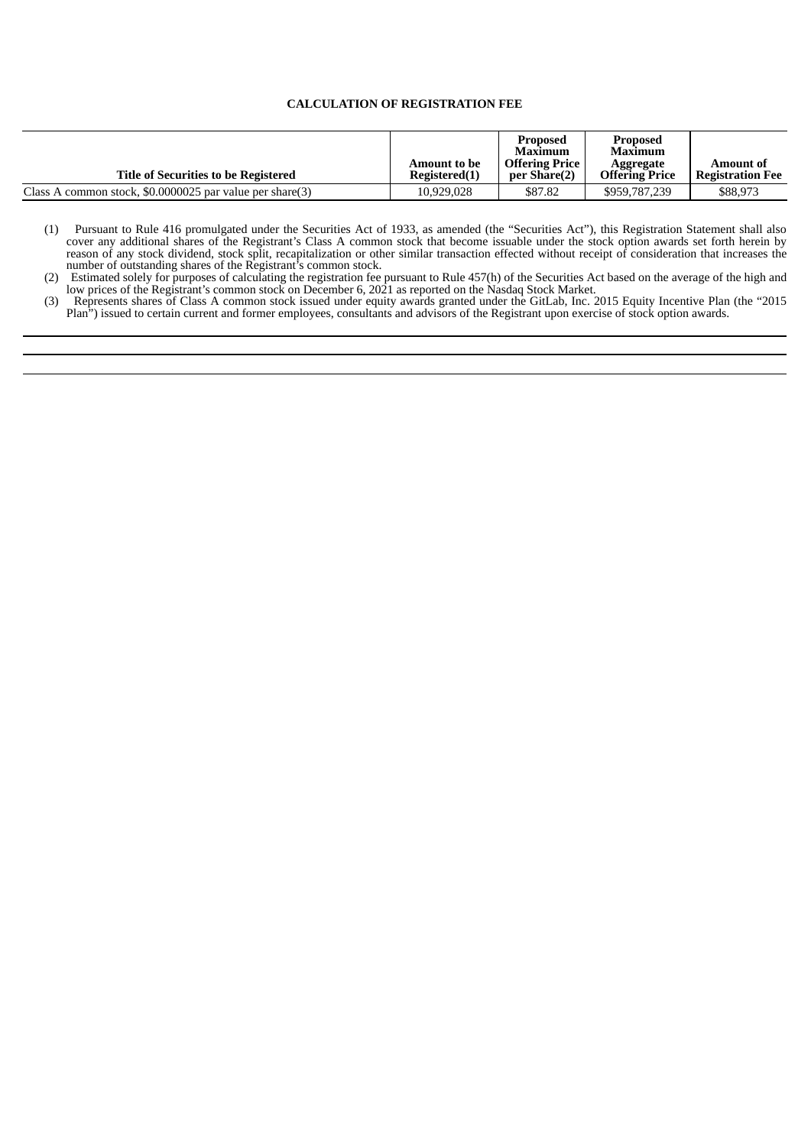# **CALCULATION OF REGISTRATION FEE**

| Title of Securities to be Registered                     | Amount to be<br>Registered(1) | Proposed<br>Maximum<br><b>Offering Price</b><br>per Share(2) | <b>Proposed</b><br>Maximum<br>Aggregate<br><b>Offering Price</b> | Amount of<br><b>Registration Fee</b> |
|----------------------------------------------------------|-------------------------------|--------------------------------------------------------------|------------------------------------------------------------------|--------------------------------------|
| Class A common stock, \$0,0000025 par value per share(3) | 10,929,028                    | \$87.82                                                      | \$959,787,239                                                    | \$88,973                             |

(1) Pursuant to Rule 416 promulgated under the Securities Act of 1933, as amended (the "Securities Act"), this Registration Statement shall also cover any additional shares of the Registrant's Class A common stock that become issuable under the stock option awards set forth herein by reason of any stock dividend, stock split, recapitalization or other similar transaction effected without receipt of consideration that increases the number of outstanding shares of the Registrant's common stock.

(2) Estimated solely for purposes of calculating the registration fee pursuant to Rule 457(h) of the Securities Act based on the average of the high and low prices of the Registrant's common stock on December 6, 2021 as reported on the Nasdaq Stock Market.

(3) Represents shares of Class A common stock issued under equity awards granted under the GitLab, Inc. 2015 Equity Incentive Plan (the "2015 Plan") issued to certain current and former employees, consultants and advisors of the Registrant upon exercise of stock option awards.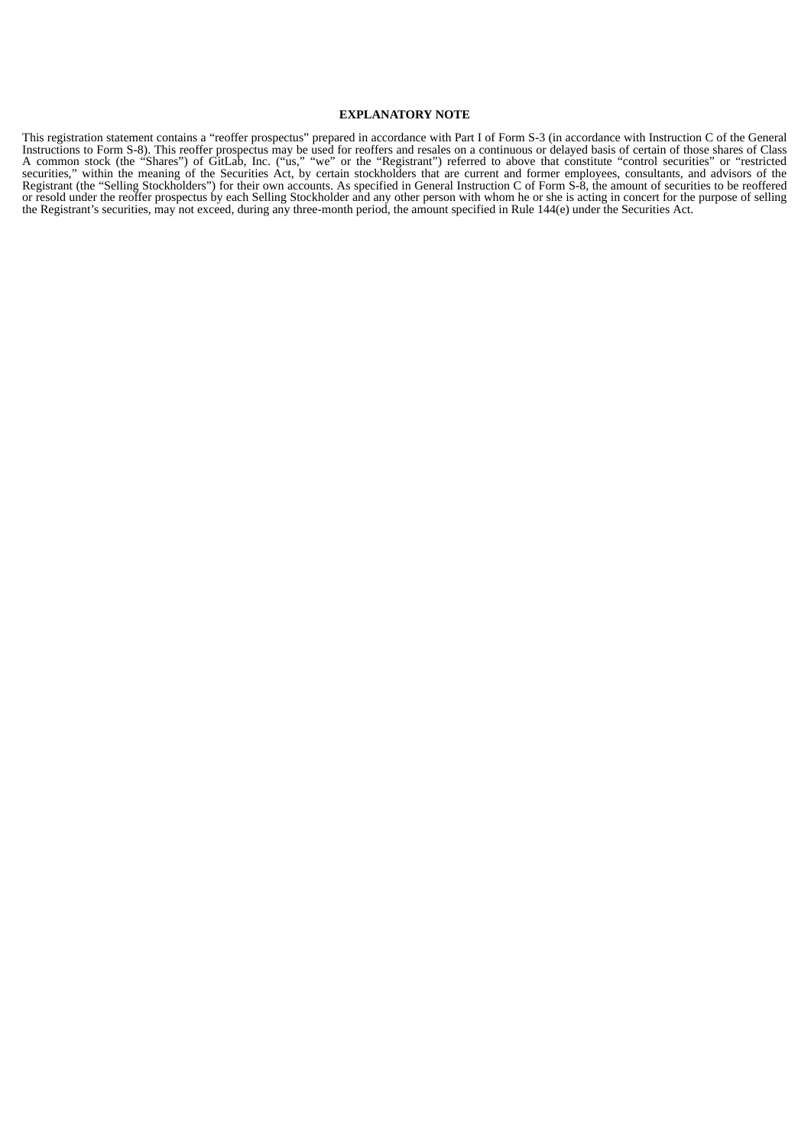#### **EXPLANATORY NOTE**

This registration statement contains a "reoffer prospectus" prepared in accordance with Part I of Form S-3 (in accordance with Instruction C of the General Instructions to Form S-8). This reoffer prospectus may be used for reoffers and resales on a continuous or delayed basis of certain of those shares of Class A common stock (the "Shares") of GitLab, Inc. ("us," "we" or the "Registrant") referred to above that constitute "control securities" or "restricted securities," within the meaning of the Securities Act, by certain stockholders that are current and former employees, consultants, and advisors of the Registrant (the "Selling Stockholders") for their own accounts. As specified in General Instruction C of Form S-8, the amount of securities to be reoffered or resold under the reoffer prospectus by each Selling Stockholder and any other person with whom he or she is acting in concert for the purpose of selling the Registrant's securities, may not exceed, during any three-month period, the amount specified in Rule 144(e) under the Securities Act.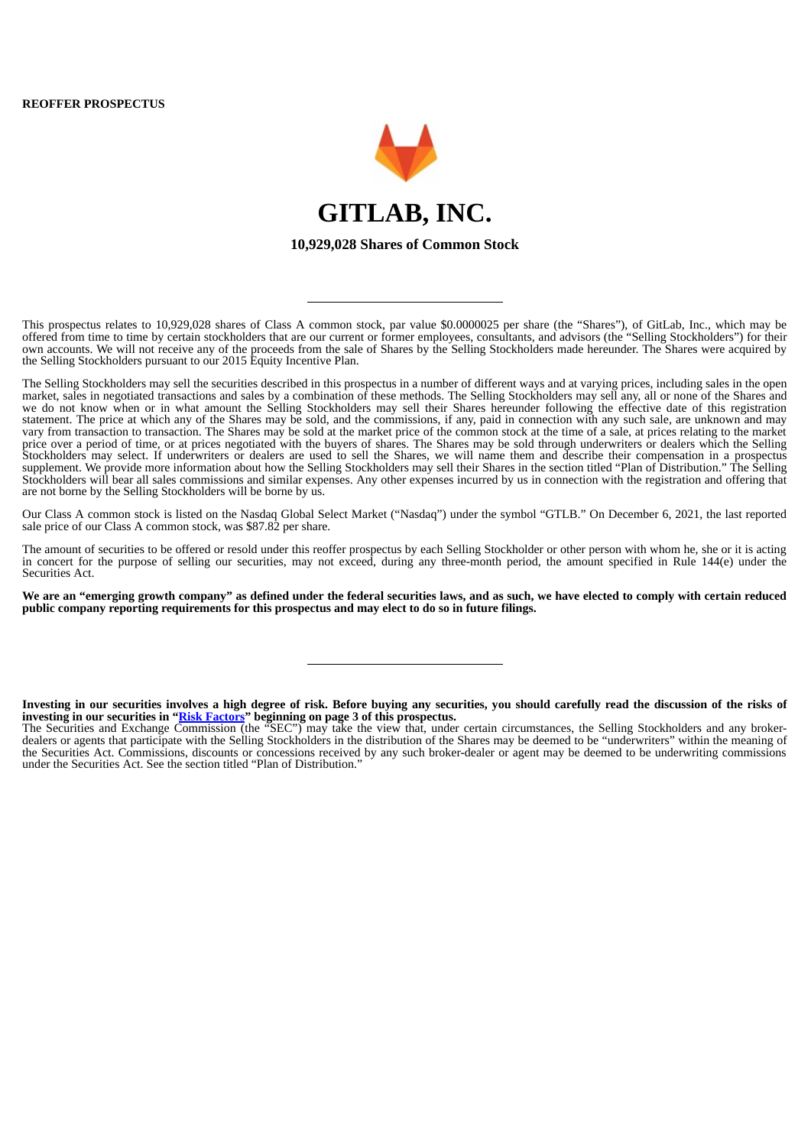

This prospectus relates to 10,929,028 shares of Class A common stock, par value \$0.0000025 per share (the "Shares"), of GitLab, Inc., which may be offered from time to time by certain stockholders that are our current or former employees, consultants, and advisors (the "Selling Stockholders") for their own accounts. We will not receive any of the proceeds from the sale of Shares by the Selling Stockholders made hereunder. The Shares were acquired by the Selling Stockholders pursuant to our 2015 Equity Incentive Plan.

The Selling Stockholders may sell the securities described in this prospectus in a number of different ways and at varying prices, including sales in the open market, sales in negotiated transactions and sales by a combination of these methods. The Selling Stockholders may sell any, all or none of the Shares and we do not know when or in what amount the Selling Stockholders may sell their Shares hereunder following the effective date of this registration statement. The price at which any of the Shares may be sold, and the commissions, if any, paid in connection with any such sale, are unknown and may vary from transaction to transaction. The Shares may be sold at the market price of the common stock at the time of a sale, at prices relating to the market price over a period of time, or at prices negotiated with the buyers of shares. The Shares may be sold through underwriters or dealers which the Selling Stockholders may select. If underwriters or dealers are used to sell the Shares, we will name them and describe their compensation in a prospectus supplement. We provide more information about how the Selling Stockholders may sell their Shares in the section titled "Plan of Distribution." The Selling Stockholders will bear all sales commissions and similar expenses. Any other expenses incurred by us in connection with the registration and offering that are not borne by the Selling Stockholders will be borne by us.

Our Class A common stock is listed on the Nasdaq Global Select Market ("Nasdaq") under the symbol "GTLB." On December 6, 2021, the last reported sale price of our Class A common stock, was \$87.82 per share.

The amount of securities to be offered or resold under this reoffer prospectus by each Selling Stockholder or other person with whom he, she or it is acting in concert for the purpose of selling our securities, may not exceed, during any three-month period, the amount specified in Rule 144(e) under the Securities Act.

We are an "emerging growth company" as defined under the federal securities laws, and as such, we have elected to comply with certain reduced **public company reporting requirements for this prospectus and may elect to do so in future filings.**

Investing in our securities involves a high degree of risk. Before buying any securities, you should carefully read the discussion of the risks of **investing in our securities in "Risk Factors" beginning on page 3 of this prospectus.**

The Securities and Exchange Commission (the "SEC") may take the view that, under certain circumstances, the Selling Stockholders and any brokerdealers or agents that participate with the Selling Stockholders in the distribution of the Shares may be deemed to be "underwriters" within the meaning of the Securities Act. Commissions, discounts or concessions received by any such broker-dealer or agent may be deemed to be underwriting commissions under the Securities Act. See the section titled "Plan of Distribution."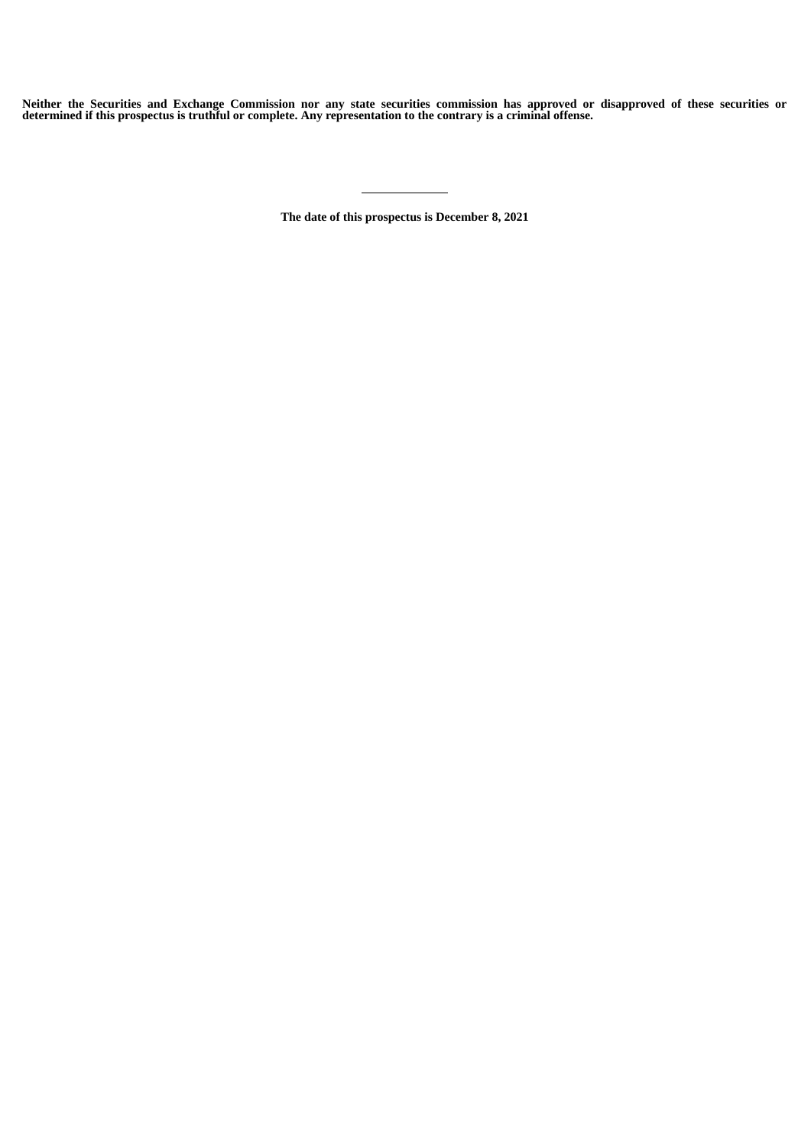Neither the Securities and Exchange Commission nor any state securities commission has approved or disapproved of these securities or determined if this prospectus is truthful or complete. Any representation to the contrary is a criminal offense.

**The date of this prospectus is December 8, 2021**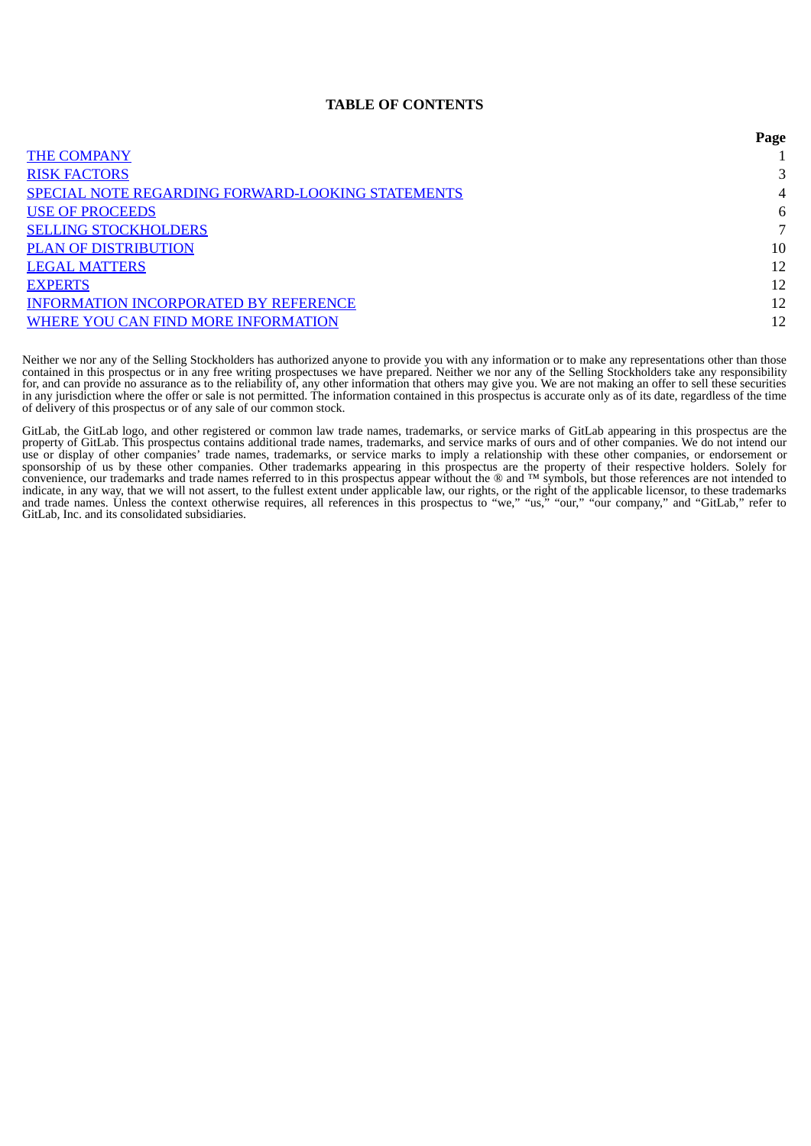# **TABLE OF CONTENTS**

|                                                          | Page |
|----------------------------------------------------------|------|
| <b>THE COMPANY</b>                                       |      |
| <b>RISK FACTORS</b>                                      | 3    |
| <b>SPECIAL NOTE REGARDING FORWARD-LOOKING STATEMENTS</b> | 4    |
| <b>USE OF PROCEEDS</b>                                   | 6    |
| <b>SELLING STOCKHOLDERS</b>                              |      |
| <b>PLAN OF DISTRIBUTION</b>                              | 10   |
| <b>LEGAL MATTERS</b>                                     | 12   |
| <b>EXPERTS</b>                                           | 12   |
| <b>INFORMATION INCORPORATED BY REFERENCE</b>             | 12   |
| WHERE YOU CAN FIND MORE INFORMATION                      | 12   |

Neither we nor any of the Selling Stockholders has authorized anyone to provide you with any information or to make any representations other than those contained in this prospectus or in any free writing prospectuses we have prepared. Neither we nor any of the Selling Stockholders take any responsibility for, and can provide no assurance as to the reliability of, any other information that others may give you. We are not making an offer to sell these securities in any jurisdiction where the offer or sale is not permitted. The information contained in this prospectus is accurate only as of its date, regardless of the time of delivery of this prospectus or of any sale of our common stock.

<span id="page-6-0"></span>GitLab, the GitLab logo, and other registered or common law trade names, trademarks, or service marks of GitLab appearing in this prospectus are the property of GitLab. This prospectus contains additional trade names, trademarks, and service marks of ours and of other companies. We do not intend our use or display of other companies' trade names, trademarks, or service marks to imply a relationship with these other companies, or endorsement or sponsorship of us by these other companies. Other trademarks appearing in this prospectus are the property of their respective holders. Solely for convenience, our trademarks and trade names referred to in this prospectus appear without the ® and  $TM$  symbols, but those references are not intended to indicate, in any way, that we will not assert, to the fullest extent under applicable law, our rights, or the right of the applicable licensor, to these trademarks and trade names. Unless the context otherwise requires, all references in this prospectus to "we," "us," "our," "our company," and "GitLab," refer to GitLab, Inc. and its consolidated subsidiaries.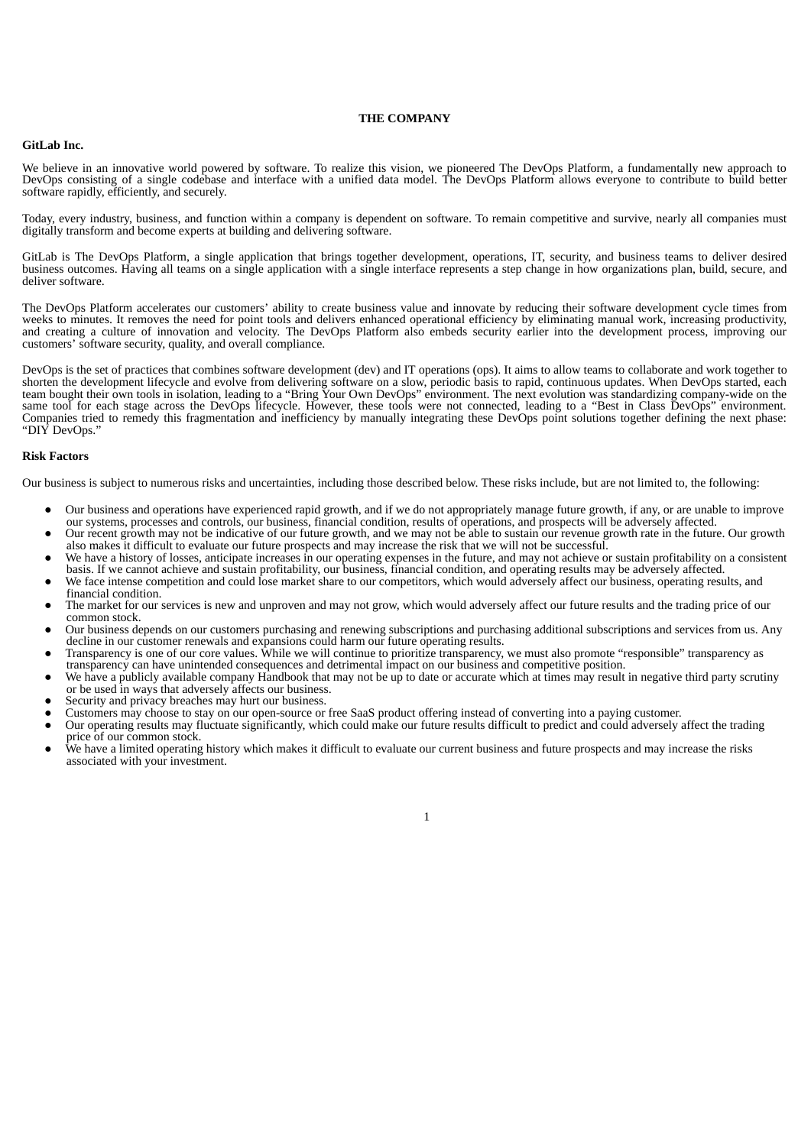#### **THE COMPANY**

### **GitLab Inc.**

We believe in an innovative world powered by software. To realize this vision, we pioneered The DevOps Platform, a fundamentally new approach to DevOps consisting of a single codebase and interface with a unified data model. The DevOps Platform allows everyone to contribute to build better software rapidly, efficiently, and securely.

Today, every industry, business, and function within a company is dependent on software. To remain competitive and survive, nearly all companies must digitally transform and become experts at building and delivering software.

GitLab is The DevOps Platform, a single application that brings together development, operations, IT, security, and business teams to deliver desired business outcomes. Having all teams on a single application with a single interface represents a step change in how organizations plan, build, secure, and deliver software.

The DevOps Platform accelerates our customers' ability to create business value and innovate by reducing their software development cycle times from weeks to minutes. It removes the need for point tools and delivers enhanced operational efficiency by eliminating manual work, increasing productivity, and creating a culture of innovation and velocity. The DevOps Platform also embeds security earlier into the development process, improving our customers' software security, quality, and overall compliance.

DevOps is the set of practices that combines software development (dev) and IT operations (ops). It aims to allow teams to collaborate and work together to shorten the development lifecycle and evolve from delivering software on a slow, periodic basis to rapid, continuous updates. When DevOps started, each team bought their own tools in isolation, leading to a "Bring Your Own DevOps" environment. The next evolution was standardizing company-wide on the same tool for each stage across the DevOps lifecycle. However, these tools were not connected, leading to a "Best in Class DevOps" environment. Companies tried to remedy this fragmentation and inefficiency by manually integrating these DevOps point solutions together defining the next phase: "DIY DevOps."

# **Risk Factors**

Our business is subject to numerous risks and uncertainties, including those described below. These risks include, but are not limited to, the following:

- Our business and operations have experienced rapid growth, and if we do not appropriately manage future growth, if any, or are unable to improve
- our systems, processes and controls, our business, financial condition, results of operations, and prospects will be adversely affected. Our recent growth may not be indicative of our future growth, and we may not be able to sustain our revenue growth rate in the future. Our growth also makes it difficult to evaluate our future prospects and may increase the risk that we will not be successful.
- We have a history of losses, anticipate increases in our operating expenses in the future, and may not achieve or sustain profitability on a consistent basis. If we cannot achieve and sustain profitability, our business, financial condition, and operating results may be adversely affected.
- We face intense competition and could lose market share to our competitors, which would adversely affect our business, operating results, and financial condition.
- The market for our services is new and unproven and may not grow, which would adversely affect our future results and the trading price of our common stock.
- Our business depends on our customers purchasing and renewing subscriptions and purchasing additional subscriptions and services from us. Any decline in our customer renewals and expansions could harm our future operating results.
- Transparency is one of our core values. While we will continue to prioritize transparency, we must also promote "responsible" transparency as transparency can have unintended consequences and detrimental impact on our business and competitive position.
- We have a publicly available company Handbook that may not be up to date or accurate which at times may result in negative third party scrutiny or be used in ways that adversely affects our business.
- Security and privacy breaches may hurt our business.
- Customers may choose to stay on our open-source or free SaaS product offering instead of converting into a paying customer.
- Our operating results may fluctuate significantly, which could make our future results difficult to predict and could adversely affect the trading price of our common stock.
- We have a limited operating history which makes it difficult to evaluate our current business and future prospects and may increase the risks associated with your investment.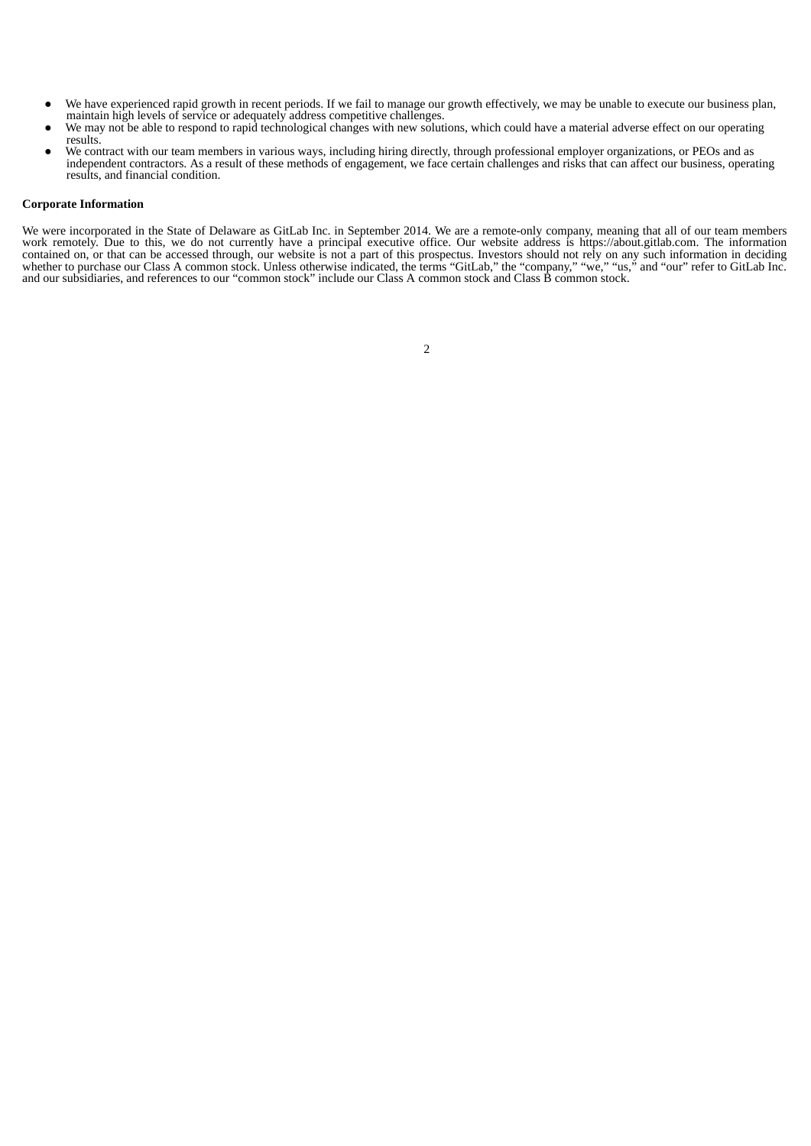- We have experienced rapid growth in recent periods. If we fail to manage our growth effectively, we may be unable to execute our business plan, maintain high levels of service or adequately address competitive challenges.
- We may not be able to respond to rapid technological changes with new solutions, which could have a material adverse effect on our operating
- results. ● We contract with our team members in various ways, including hiring directly, through professional employer organizations, or PEOs and as independent contractors. As a result of these methods of engagement, we face certain challenges and risks that can affect our business, operating results, and financial condition.

# **Corporate Information**

<span id="page-8-0"></span>We were incorporated in the State of Delaware as GitLab Inc. in September 2014. We are a remote-only company, meaning that all of our team members work remotely. Due to this, we do not currently have a principal executive office. Our website address is https://about.gitlab.com. The information contained on, or that can be accessed through, our website is not a part of this prospectus. Investors should not rely on any such information in deciding whether to purchase our Class A common stock. Unless otherwise indicated, the terms "GitLab," the "company," "we," "us," and "our" refer to GitLab Inc. and our subsidiaries, and references to our "common stock" include our Class A common stock and Class B common stock.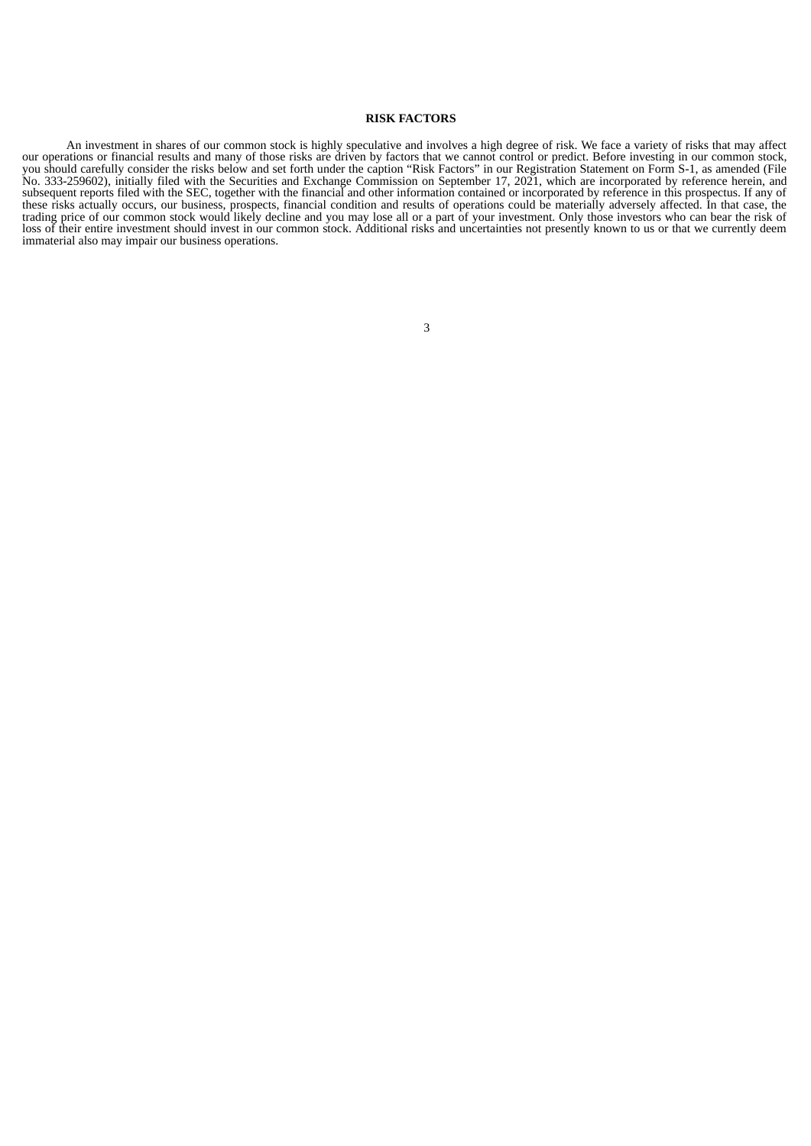#### **RISK FACTORS**

An investment in shares of our common stock is highly speculative and involves a high degree of risk. We face a variety of risks that may affect our operations or financial results and many of those risks are driven by factors that we cannot control or predict. Before investing in our common stock, you should carefully consider the risks below and set forth under the caption "Risk Factors" in our Registration Statement on Form S-1, as amended (File No. 333-259602), initially filed with the Securities and Exchange Commission on September 17, 2021, which are incorporated by reference herein, and subsequent reports filed with the SEC, together with the financial and other information contained or incorporated by reference in this prospectus. If any of these risks actually occurs, our business, prospects, financial condition and results of operations could be materially adversely affected. In that case, the trading price of our common stock would likely decline and you may lose all or a part of your investment. Only those investors who can bear the risk of loss of their entire investment should invest in our common stock. Additional risks and uncertainties not presently known to us or that we currently deem immaterial also may impair our business operations.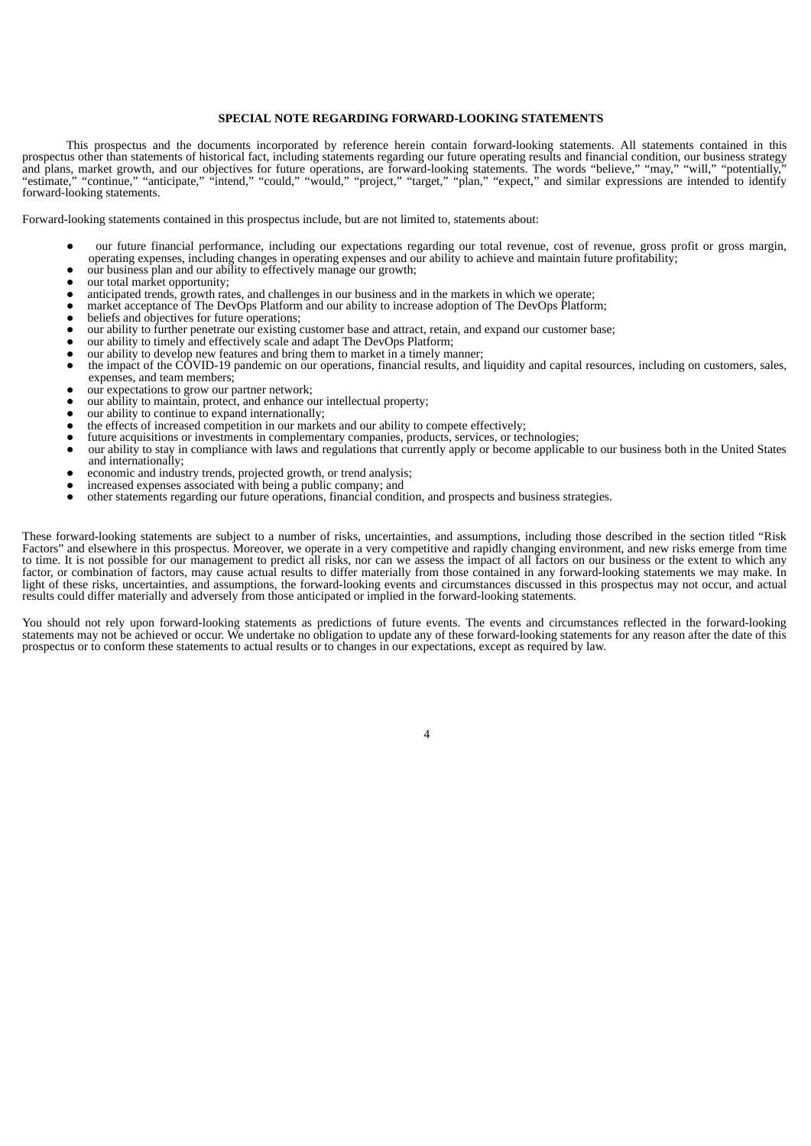## **SPECIAL NOTE REGARDING FORWARD-LOOKING STATEMENTS**

This prospectus and the documents incorporated by reference herein contain forward-looking statements. All statements contained in this prospectus other than statements of historical fact, including statements regarding our future operating results and financial condition, our business strategy and plans, market growth, and our objectives for future operations, are forward-looking statements. The words "believe," "may," "will," "potentially," "estimate," "continue," "anticipate," "intend," "could," "would," "project," "target," "plan," "expect," and similar expressions are intended to identify forward-looking statements.

Forward-looking statements contained in this prospectus include, but are not limited to, statements about:

- our future financial performance, including our expectations regarding our total revenue, cost of revenue, gross profit or gross margin, operating expenses, including changes in operating expenses and our ability to achieve and maintain future profitability;
- our business plan and our ability to effectively manage our growth;
- our total market opportunity;
- anticipated trends, growth rates, and challenges in our business and in the markets in which we operate;
- market acceptance of The DevOps Platform and our ability to increase adoption of The DevOps Platform;
- beliefs and objectives for future operations;
- our ability to further penetrate our existing customer base and attract, retain, and expand our customer base;
- our ability to timely and effectively scale and adapt The DevOps Platform;
- our ability to develop new features and bring them to market in a timely manner;
- the impact of the COVID-19 pandemic on our operations, financial results, and liquidity and capital resources, including on customers, sales, expenses, and team members;
- our expectations to grow our partner network;
- our ability to maintain, protect, and enhance our intellectual property;
- our ability to continue to expand internationally;
- the effects of increased competition in our markets and our ability to compete effectively;
- future acquisitions or investments in complementary companies, products, services, or technologies;
- our ability to stay in compliance with laws and regulations that currently apply or become applicable to our business both in the United States and internationally;
- economic and industry trends, projected growth, or trend analysis;
- increased expenses associated with being a public company; and
- other statements regarding our future operations, financial condition, and prospects and business strategies.

These forward-looking statements are subject to a number of risks, uncertainties, and assumptions, including those described in the section titled "Risk Factors" and elsewhere in this prospectus. Moreover, we operate in a very competitive and rapidly changing environment, and new risks emerge from time to time. It is not possible for our management to predict all risks, nor can we assess the impact of all factors on our business or the extent to which any factor, or combination of factors, may cause actual results to differ materially from those contained in any forward-looking statements we may make. In light of these risks, uncertainties, and assumptions, the forward-looking events and circumstances discussed in this prospectus may not occur, and actual results could differ materially and adversely from those anticipated or implied in the forward-looking statements.

You should not rely upon forward-looking statements as predictions of future events. The events and circumstances reflected in the forward-looking statements may not be achieved or occur. We undertake no obligation to update any of these forward-looking statements for any reason after the date of this prospectus or to conform these statements to actual results or to changes in our expectations, except as required by law.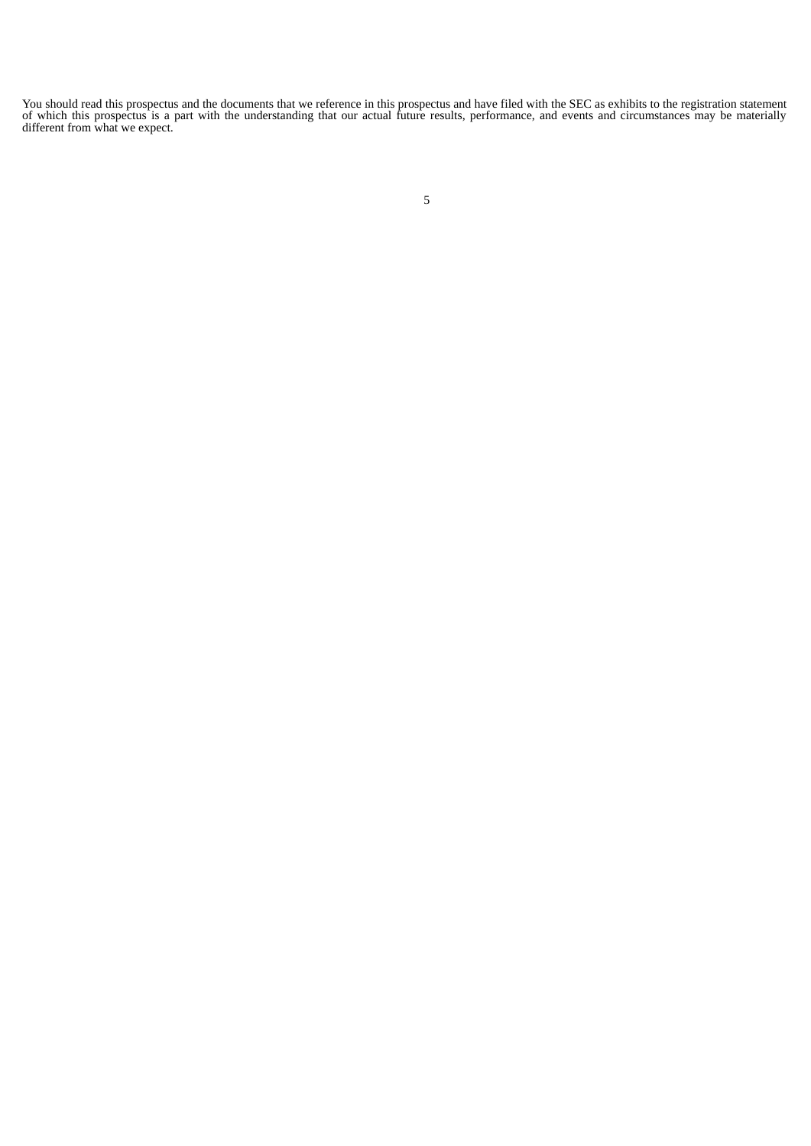You should read this prospectus and the documents that we reference in this prospectus and have filed with the SEC as exhibits to the registration statement of which this prospectus is a part with the understanding that our actual future results, performance, and events and circumstances may be materially different from what we expect.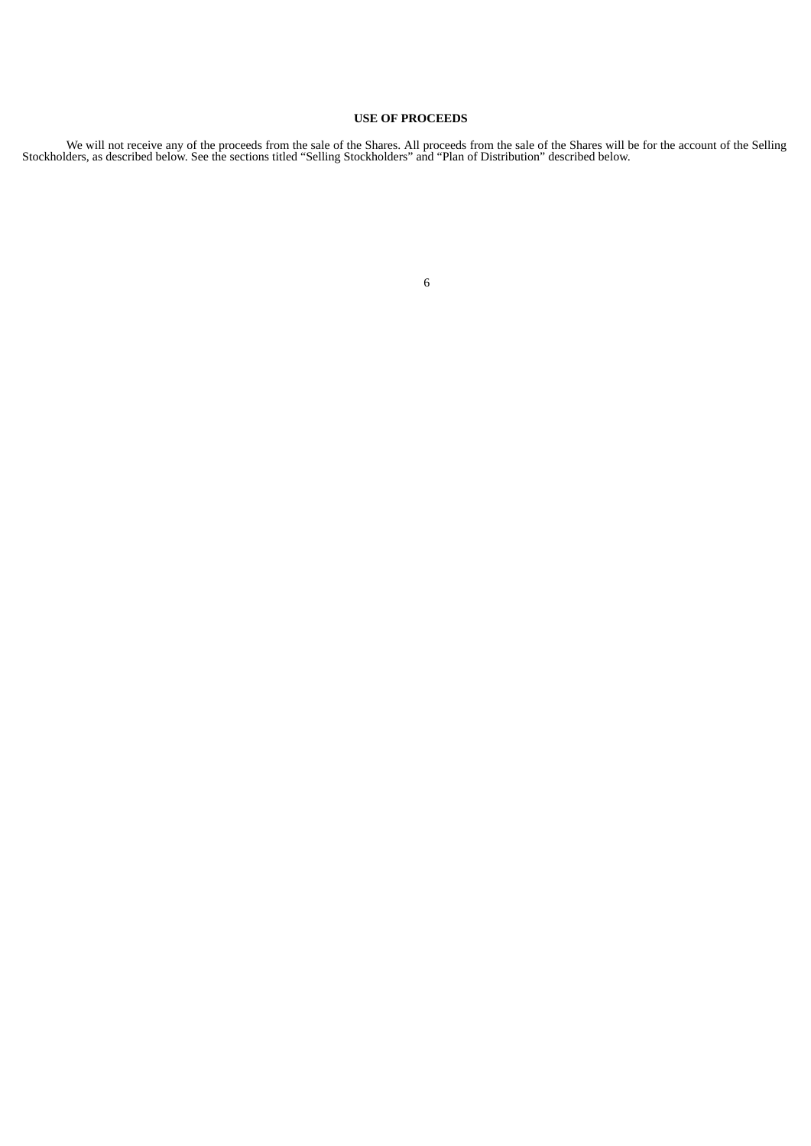# **USE OF PROCEEDS**

We will not receive any of the proceeds from the sale of the Shares. All proceeds from the sale of the Shares will be for the account of the Selling Stockholders, as described below. See the sections titled "Selling Stockholders" and "Plan of Distribution" described below.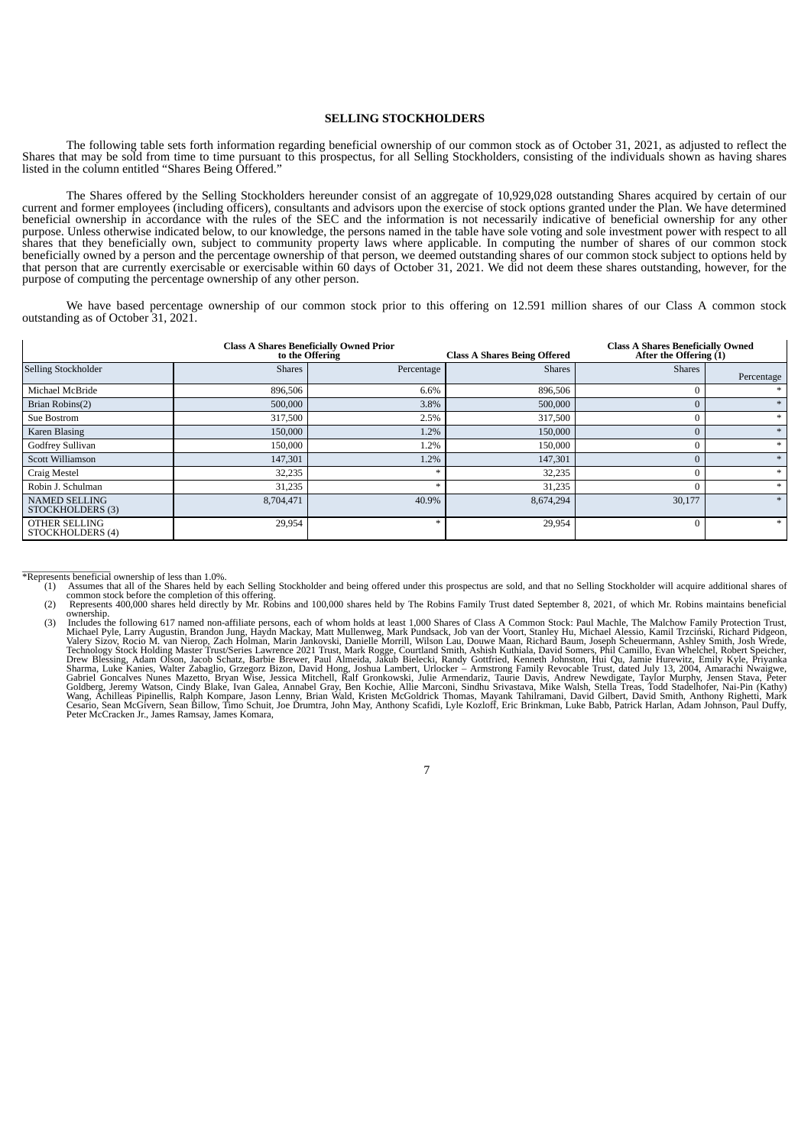# **SELLING STOCKHOLDERS**

The following table sets forth information regarding beneficial ownership of our common stock as of October 31, 2021, as adjusted to reflect the Shares that may be sold from time to time pursuant to this prospectus, for all Selling Stockholders, consisting of the individuals shown as having shares listed in the column entitled "Shares Being Offered."

The Shares offered by the Selling Stockholders hereunder consist of an aggregate of 10,929,028 outstanding Shares acquired by certain of our current and former employees (including officers), consultants and advisors upon the exercise of stock options granted under the Plan. We have determined beneficial ownership in accordance with the rules of the SEC and the information is not necessarily indicative of beneficial ownership for any other purpose. Unless otherwise indicated below, to our knowledge, the persons named in the table have sole voting and sole investment power with respect to all shares that they beneficially own, subject to community property laws where applicable. In computing the number of shares of our common stock beneficially owned by a person and the percentage ownership of that person, we deemed outstanding shares of our common stock subject to options held by that person that are currently exercisable or exercisable within 60 days of October 31, 2021. We did not deem these shares outstanding, however, for the purpose of computing the percentage ownership of any other person.

We have based percentage ownership of our common stock prior to this offering on 12.591 million shares of our Class A common stock outstanding as of October 31, 2021.

|                                          |               | <b>Class A Shares Beneficially Owned Prior</b><br>to the Offering | <b>Class A Shares Being Offered</b> | <b>Class A Shares Beneficially Owned</b><br>After the Offering $(1)$ |            |
|------------------------------------------|---------------|-------------------------------------------------------------------|-------------------------------------|----------------------------------------------------------------------|------------|
| Selling Stockholder                      | <b>Shares</b> | Percentage                                                        | <b>Shares</b>                       | <b>Shares</b>                                                        | Percentage |
| Michael McBride                          | 896,506       | 6.6%                                                              | 896,506                             | $\Omega$                                                             |            |
| Brian Robins(2)                          | 500,000       | 3.8%                                                              | 500,000                             | $\overline{0}$                                                       |            |
| Sue Bostrom                              | 317,500       | 2.5%                                                              | 317,500                             | $\mathbf{0}$                                                         | $\ast$     |
| Karen Blasing                            | 150,000       | 1.2%                                                              | 150,000                             | $\mathbf{0}$                                                         |            |
| Godfrey Sullivan                         | 150,000       | 1.2%                                                              | 150,000                             | $\mathbf{0}$                                                         | $\ast$     |
| <b>Scott Williamson</b>                  | 147,301       | 1.2%                                                              | 147,301                             | $\mathbf{0}$                                                         |            |
| Craig Mestel                             | 32,235        |                                                                   | 32,235                              | $\mathbf{0}$                                                         | $\ast$     |
| Robin J. Schulman                        | 31,235        |                                                                   | 31,235                              | $\theta$                                                             |            |
| <b>NAMED SELLING</b><br>STOCKHOLDERS (3) | 8,704,471     | 40.9%                                                             | 8,674,294                           | 30,177                                                               |            |
| OTHER SELLING<br>STOCKHOLDERS (4)        | 29,954        |                                                                   | 29,954                              | $\mathbf{0}$                                                         | $\ast$     |

- \*Represents beneficial ownership of less than 1.0%.<br>(1) Assumes that all of the Shares held by each Selling Stockholder and being offered under this prospectus are sold, and that no Selling Stockholder will acquire additio common stock before the completion of this offering.<br>
Represents 400,000 shares held directly by Mr. Robins and 100,000 shares held by The Robins Family Trust dated September 8, 2021, of which Mr. Robins maintains benefici
	-
	- (2) Represents 400,000 shares held directly by Mr. Robins and 100,000 shares held by The Robins Family Trust dated September 8, 2021, of which Mr. Robins maintains beneficial originality Trust dated September 8, 2021, of w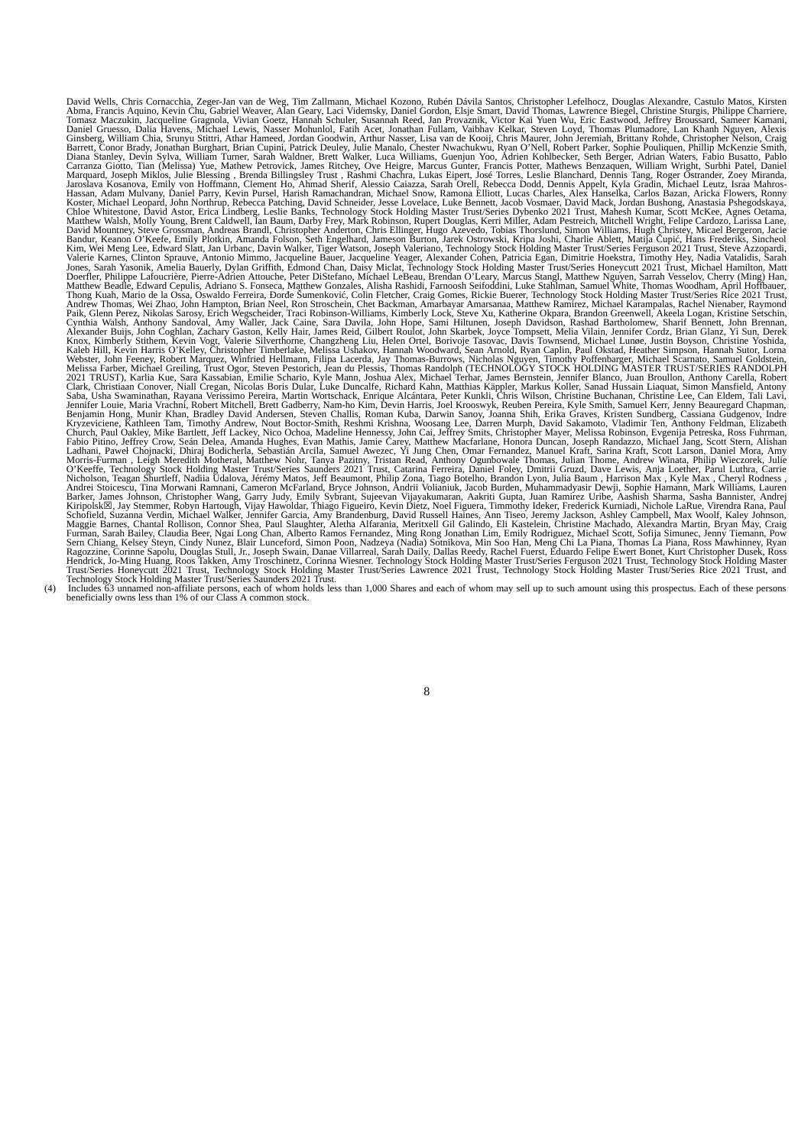The same states of the same state in the same state in the same state in the same state in the same state in the same state in the same state in the same state in the same state in the same state in the same state in the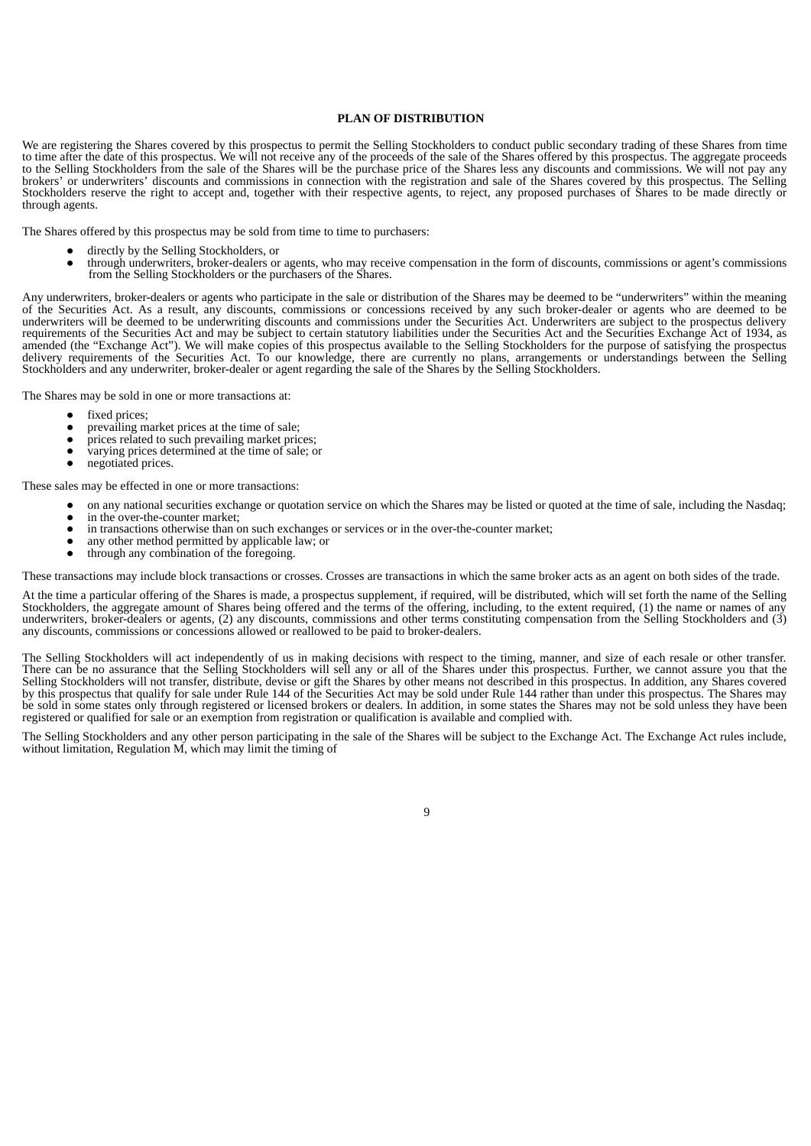# **PLAN OF DISTRIBUTION**

We are registering the Shares covered by this prospectus to permit the Selling Stockholders to conduct public secondary trading of these Shares from time to time after the date of this prospectus. We will not receive any of the proceeds of the sale of the Shares offered by this prospectus. The aggregate proceeds to the Selling Stockholders from the sale of the Shares will be the purchase price of the Shares less any discounts and commissions. We will not pay any brokers' or underwriters' discounts and commissions in connection with the registration and sale of the Shares covered by this prospectus. The Selling Stockholders reserve the right to accept and, together with their respective agents, to reject, any proposed purchases of Shares to be made directly or through agents.

The Shares offered by this prospectus may be sold from time to time to purchasers:

- directly by the Selling Stockholders, or<br>through underwriters, broker-dealers or
- through underwriters, broker-dealers or agents, who may receive compensation in the form of discounts, commissions or agent's commissions from the Selling Stockholders or the purchasers of the Shares.

Any underwriters, broker-dealers or agents who participate in the sale or distribution of the Shares may be deemed to be "underwriters" within the meaning of the Securities Act. As a result, any discounts, commissions or concessions received by any such broker-dealer or agents who are deemed to be underwriters will be deemed to be underwriting discounts and commissions under the Securities Act. Underwriters are subject to the prospectus delivery requirements of the Securities Act and may be subject to certain statutory liabilities under the Securities Act and the Securities Exchange Act of 1934, as amended (the "Exchange Act"). We will make copies of this prospectus available to the Selling Stockholders for the purpose of satisfying the prospectus delivery requirements of the Securities Act. To our knowledge, there are currently no plans, arrangements or understandings between the Selling Stockholders and any underwriter, broker-dealer or agent regarding the sale of the Shares by the Selling Stockholders.

The Shares may be sold in one or more transactions at:

- fixed prices;
- prevailing market prices at the time of sale;
- prices related to such prevailing market prices;<br>• varying prices determined at the time of sale: 0
- varying prices determined at the time of sale; or
- negotiated prices.

These sales may be effected in one or more transactions:

- on any national securities exchange or quotation service on which the Shares may be listed or quoted at the time of sale, including the Nasdaq;
- in the over-the-counter market;<br>• in transactions otherwise than c
- in transactions otherwise than on such exchanges or services or in the over-the-counter market;
- any other method permitted by applicable law; or ● through any combination of the foregoing.

These transactions may include block transactions or crosses. Crosses are transactions in which the same broker acts as an agent on both sides of the trade.

At the time a particular offering of the Shares is made, a prospectus supplement, if required, will be distributed, which will set forth the name of the Selling Stockholders, the aggregate amount of Shares being offered and the terms of the offering, including, to the extent required, (1) the name or names of any underwriters, broker-dealers or agents, (2) any discounts, commissions and other terms constituting compensation from the Selling Stockholders and (3) any discounts, commissions or concessions allowed or reallowed to be paid to broker-dealers.

The Selling Stockholders will act independently of us in making decisions with respect to the timing, manner, and size of each resale or other transfer. There can be no assurance that the Selling Stockholders will sell any or all of the Shares under this prospectus. Further, we cannot assure you that the Selling Stockholders will not transfer, distribute, devise or gift the Shares by other means not described in this prospectus. In addition, any Shares covered by this prospectus that qualify for sale under Rule 144 of the Securities Act may be sold under Rule 144 rather than under this prospectus. The Shares may be sold in some states only through registered or licensed brokers or dealers. In addition, in some states the Shares may not be sold unless they have been registered or qualified for sale or an exemption from registration or qualification is available and complied with.

The Selling Stockholders and any other person participating in the sale of the Shares will be subject to the Exchange Act. The Exchange Act rules include, without limitation, Regulation M, which may limit the timing of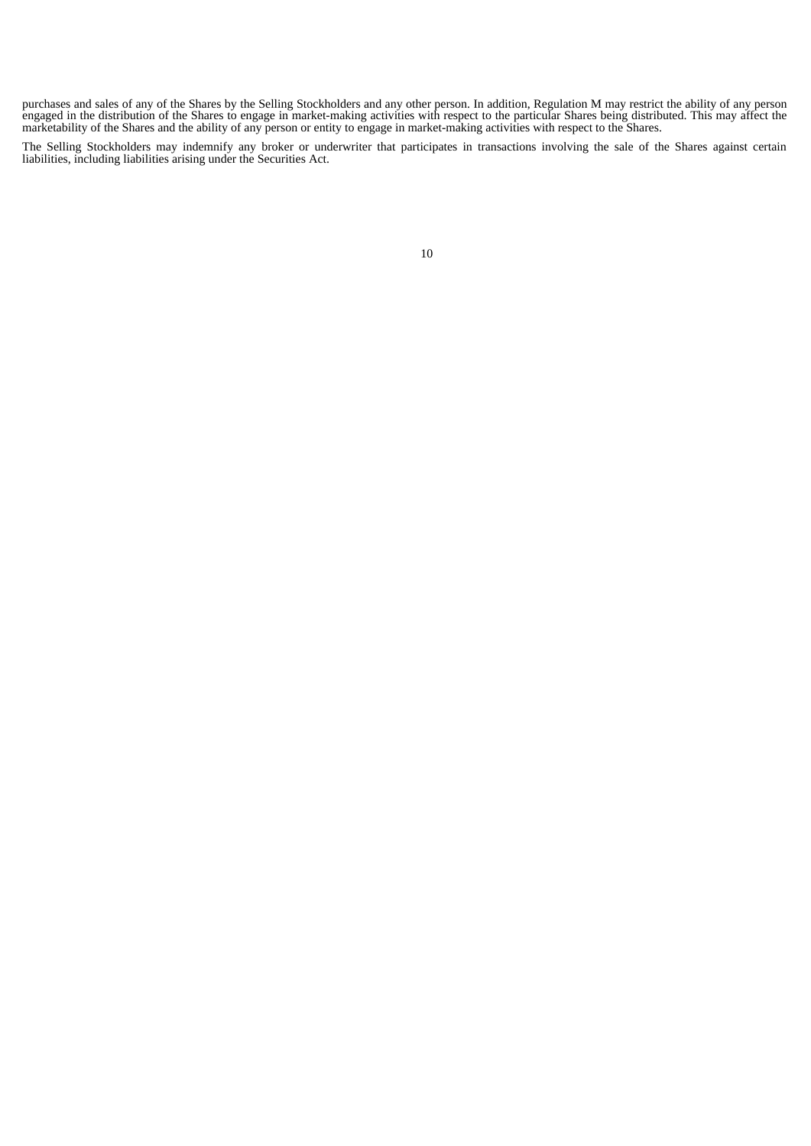purchases and sales of any of the Shares by the Selling Stockholders and any other person. In addition, Regulation M may restrict the ability of any person engaged in the distribution of the Shares to engage in market-making activities with respect to the particular Shares being distributed. This may affect the marketability of the Shares and the ability of any person or entity to engage in market-making activities with respect to the Shares.

The Selling Stockholders may indemnify any broker or underwriter that participates in transactions involving the sale of the Shares against certain liabilities, including liabilities arising under the Securities Act.

<sup>10</sup>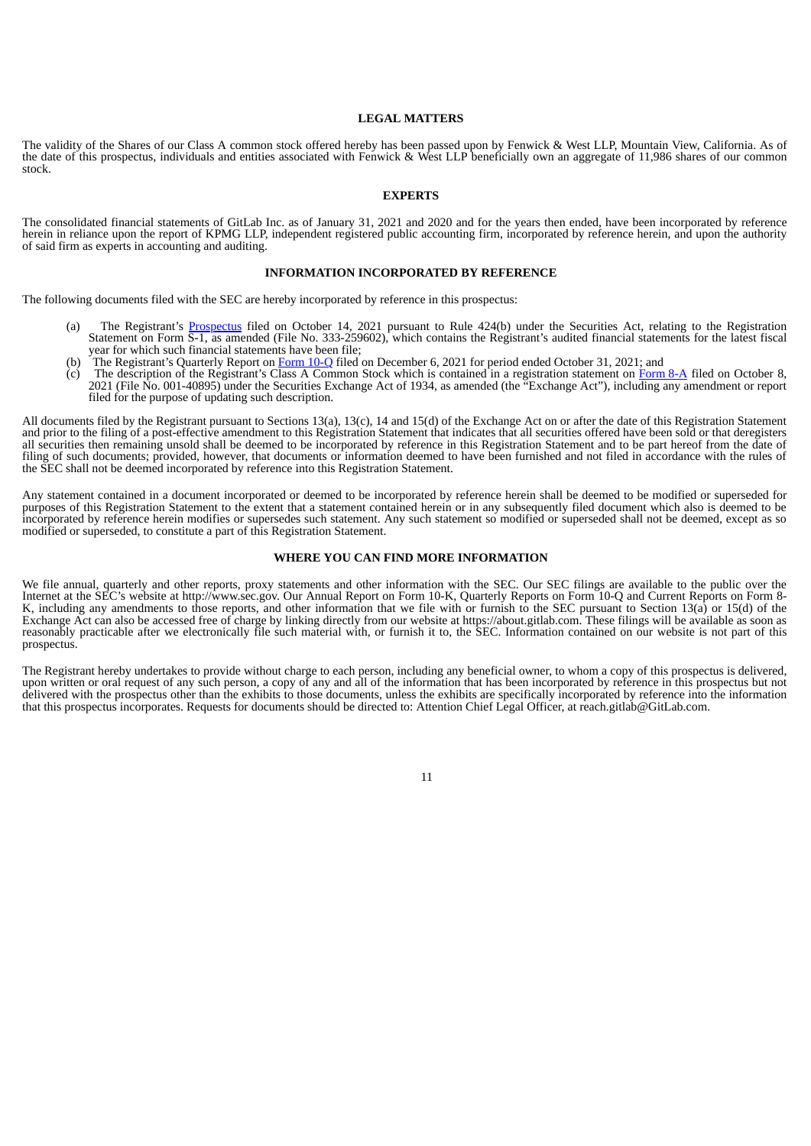## **LEGAL MATTERS**

The validity of the Shares of our Class A common stock offered hereby has been passed upon by Fenwick & West LLP, Mountain View, California. As of the date of this prospectus, individuals and entities associated with Fenwick & West LLP beneficially own an aggregate of 11,986 shares of our common stock.

# **EXPERTS**

The consolidated financial statements of GitLab Inc. as of January 31, 2021 and 2020 and for the years then ended, have been incorporated by reference herein in reliance upon the report of KPMG LLP, independent registered public accounting firm, incorporated by reference herein, and upon the authority of said firm as experts in accounting and auditing.

# **INFORMATION INCORPORATED BY REFERENCE**

The following documents filed with the SEC are hereby incorporated by reference in this prospectus:

- (a) The Registrant's [Prospectus](https://www.sec.gov/Archives/edgar/data/1653482/000162828021020056/gitlab-424b4.htm) filed on October 14, 2021 pursuant to Rule 424(b) under the Securities Act, relating to the Registration Statement on Form S-1, as amended (File No. 333-259602), which contains the Registrant's audited financial statements for the latest fiscal year for which such financial statements have been file;
- (b) The Registrant's Quarterly Report on [Form](https://www.sec.gov/ix?doc=/Archives/edgar/data/1653482/000162828021024605/gtlb-20211031.htm) 10-Q filed on December 6, 2021 for period ended October 31, 2021; and
- (c) The description of the Registrant's Class A Common Stock which is contained in a registration statement on [Form](https://www.sec.gov/Archives/edgar/data/1653482/000162828021019862/gitlab-form8xa.htm) 8-A filed on October 8, 2021 (File No. 001-40895) under the Securities Exchange Act of 1934, as amended (the "Exchange Act"), including any amendment or report filed for the purpose of updating such description.

All documents filed by the Registrant pursuant to Sections 13(a), 13(c), 14 and 15(d) of the Exchange Act on or after the date of this Registration Statement and prior to the filing of a post-effective amendment to this Registration Statement that indicates that all securities offered have been sold or that deregisters all securities then remaining unsold shall be deemed to be incorporated by reference in this Registration Statement and to be part hereof from the date of filing of such documents; provided, however, that documents or information deemed to have been furnished and not filed in accordance with the rules of the SEC shall not be deemed incorporated by reference into this Registration Statement.

Any statement contained in a document incorporated or deemed to be incorporated by reference herein shall be deemed to be modified or superseded for purposes of this Registration Statement to the extent that a statement contained herein or in any subsequently filed document which also is deemed to be incorporated by reference herein modifies or supersedes such statement. Any such statement so modified or superseded shall not be deemed, except as so modified or superseded, to constitute a part of this Registration Statement.

#### **WHERE YOU CAN FIND MORE INFORMATION**

We file annual, quarterly and other reports, proxy statements and other information with the SEC. Our SEC filings are available to the public over the Internet at the SEC's website at http://www.sec.gov. Our Annual Report on Form 10-K, Quarterly Reports on Form 10-Q and Current Reports on Form 8- K, including any amendments to those reports, and other information that we file with or furnish to the SEC pursuant to Section 13(a) or 15(d) of the Exchange Act can also be accessed free of charge by linking directly from our website at https://about.gitlab.com. These filings will be available as soon as reasonably practicable after we electronically file such material with, or furnish it to, the SEC. Information contained on our website is not part of this prospectus.

The Registrant hereby undertakes to provide without charge to each person, including any beneficial owner, to whom a copy of this prospectus is delivered, upon written or oral request of any such person, a copy of any and all of the information that has been incorporated by reference in this prospectus but not delivered with the prospectus other than the exhibits to those documents, unless the exhibits are specifically incorporated by reference into the information that this prospectus incorporates. Requests for documents should be directed to: Attention Chief Legal Officer, at reach.gitlab@GitLab.com.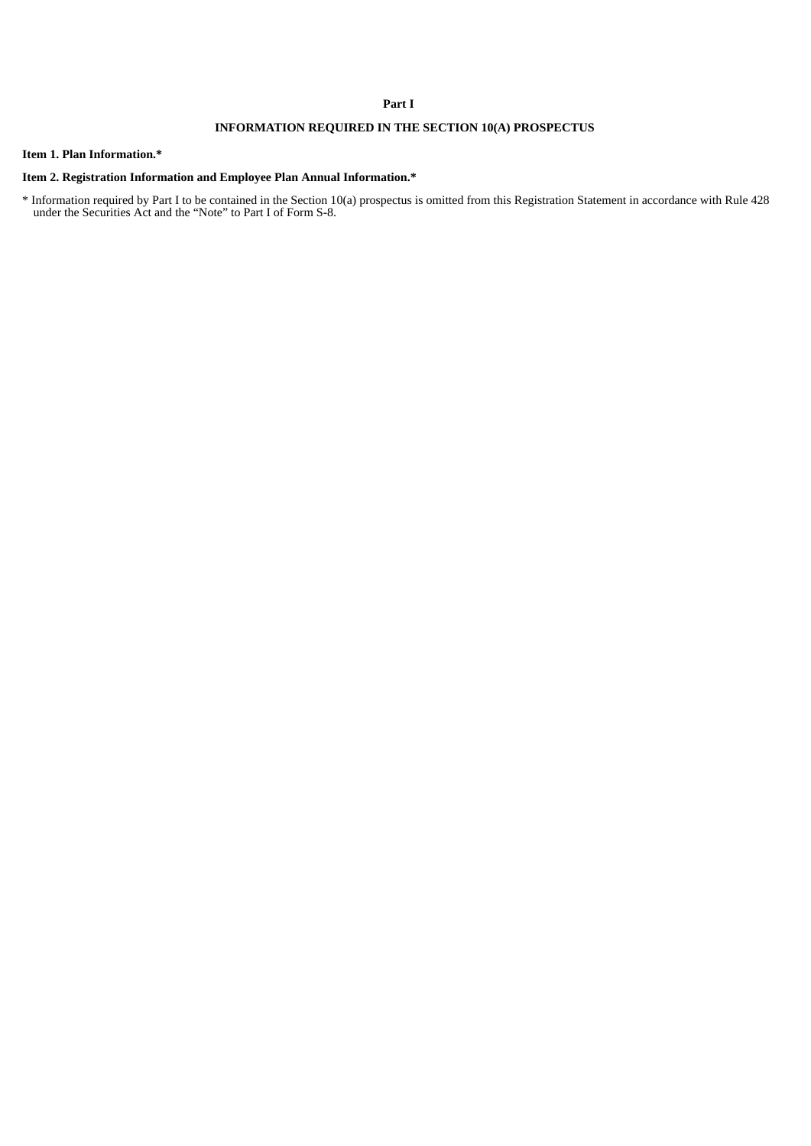# **Part I**

# **INFORMATION REQUIRED IN THE SECTION 10(A) PROSPECTUS**

# **Item 1. Plan Information.\***

# **Item 2. Registration Information and Employee Plan Annual Information.\***

\* Information required by Part I to be contained in the Section 10(a) prospectus is omitted from this Registration Statement in accordance with Rule 428 under the Securities Act and the "Note" to Part I of Form S-8.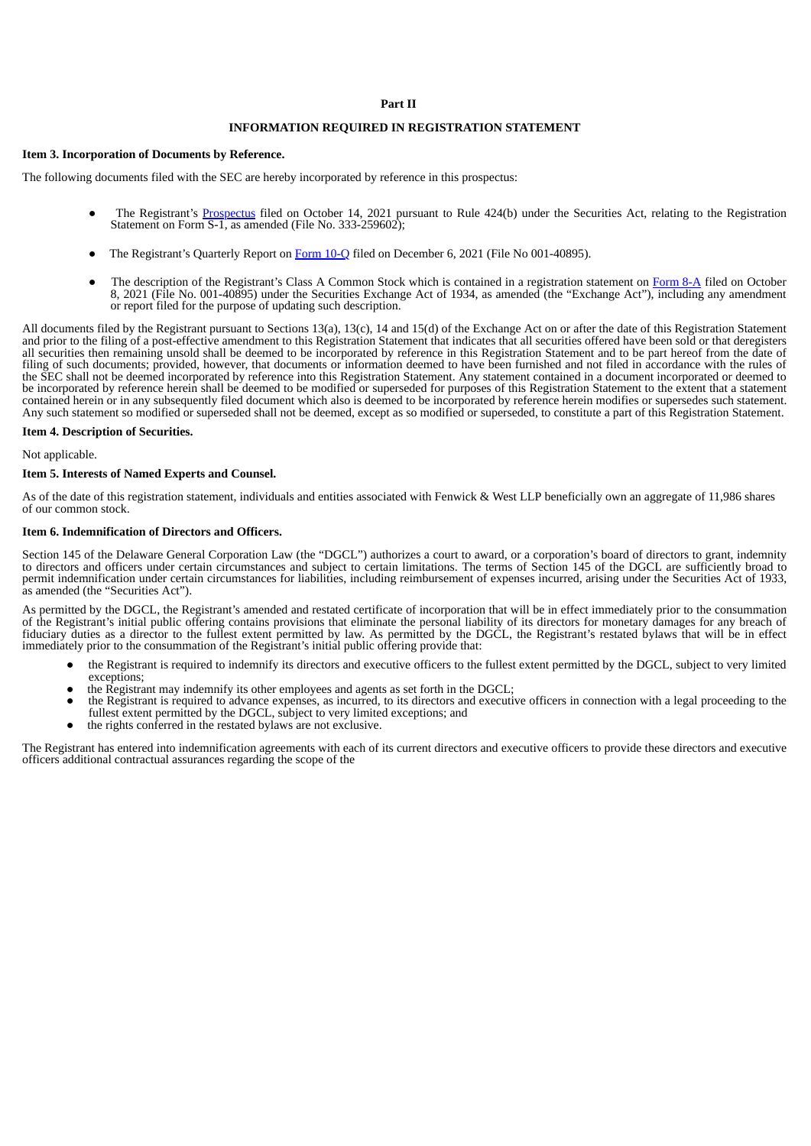# **Part II**

# **INFORMATION REQUIRED IN REGISTRATION STATEMENT**

# **Item 3. Incorporation of Documents by Reference.**

The following documents filed with the SEC are hereby incorporated by reference in this prospectus:

- The Registrant's [Prospectus](https://www.sec.gov/Archives/edgar/data/1653482/000162828021020056/gitlab-424b4.htm) filed on October 14, 2021 pursuant to Rule 424(b) under the Securities Act, relating to the Registration Statement on Form S-1, as amended (File No. 333-259602);
- The Registrant's Quarterly Report on [Form](https://www.sec.gov/ix?doc=/Archives/edgar/data/1653482/000162828021024605/gtlb-20211031.htm) 10-Q filed on December 6, 2021 (File No 001-40895).
- The description of the Registrant's Class A Common Stock which is contained in a registration statement on [Form](https://www.sec.gov/Archives/edgar/data/1653482/000162828021019862/gitlab-form8xa.htm) 8-A filed on October 8, 2021 (File No. 001-40895) under the Securities Exchange Act of 1934, as amended (the "Exchange Act"), including any amendment or report filed for the purpose of updating such description.

All documents filed by the Registrant pursuant to Sections 13(a), 13(c), 14 and 15(d) of the Exchange Act on or after the date of this Registration Statement and prior to the filing of a post-effective amendment to this Registration Statement that indicates that all securities offered have been sold or that deregisters all securities then remaining unsold shall be deemed to be incorporated by reference in this Registration Statement and to be part hereof from the date of filing of such documents; provided, however, that documents or information deemed to have been furnished and not filed in accordance with the rules of the SEC shall not be deemed incorporated by reference into this Registration Statement. Any statement contained in a document incorporated or deemed to be incorporated by reference herein shall be deemed to be modified or superseded for purposes of this Registration Statement to the extent that a statement contained herein or in any subsequently filed document which also is deemed to be incorporated by reference herein modifies or supersedes such statement. Any such statement so modified or superseded shall not be deemed, except as so modified or superseded, to constitute a part of this Registration Statement.

#### **Item 4. Description of Securities.**

# Not applicable.

# **Item 5. Interests of Named Experts and Counsel.**

As of the date of this registration statement, individuals and entities associated with Fenwick & West LLP beneficially own an aggregate of 11,986 shares of our common stock.

# **Item 6. Indemnification of Directors and Officers.**

Section 145 of the Delaware General Corporation Law (the "DGCL") authorizes a court to award, or a corporation's board of directors to grant, indemnity to directors and officers under certain circumstances and subject to certain limitations. The terms of Section 145 of the DGCL are sufficiently broad to permit indemnification under certain circumstances for liabilities, including reimbursement of expenses incurred, arising under the Securities Act of 1933, as amended (the "Securities Act").

As permitted by the DGCL, the Registrant's amended and restated certificate of incorporation that will be in effect immediately prior to the consummation of the Registrant's initial public offering contains provisions that eliminate the personal liability of its directors for monetary damages for any breach of fiduciary duties as a director to the fullest extent permitted by law. As permitted by the DGCL, the Registrant's restated bylaws that will be in effect immediately prior to the consummation of the Registrant's initial public offering provide that:

- the Registrant is required to indemnify its directors and executive officers to the fullest extent permitted by the DGCL, subject to very limited exceptions;
- the Registrant may indemnify its other employees and agents as set forth in the DGCL;
- the Registrant is required to advance expenses, as incurred, to its directors and executive officers in connection with a legal proceeding to the fullest extent permitted by the DGCL, subject to very limited exceptions; and
- the rights conferred in the restated bylaws are not exclusive.

The Registrant has entered into indemnification agreements with each of its current directors and executive officers to provide these directors and executive officers additional contractual assurances regarding the scope of the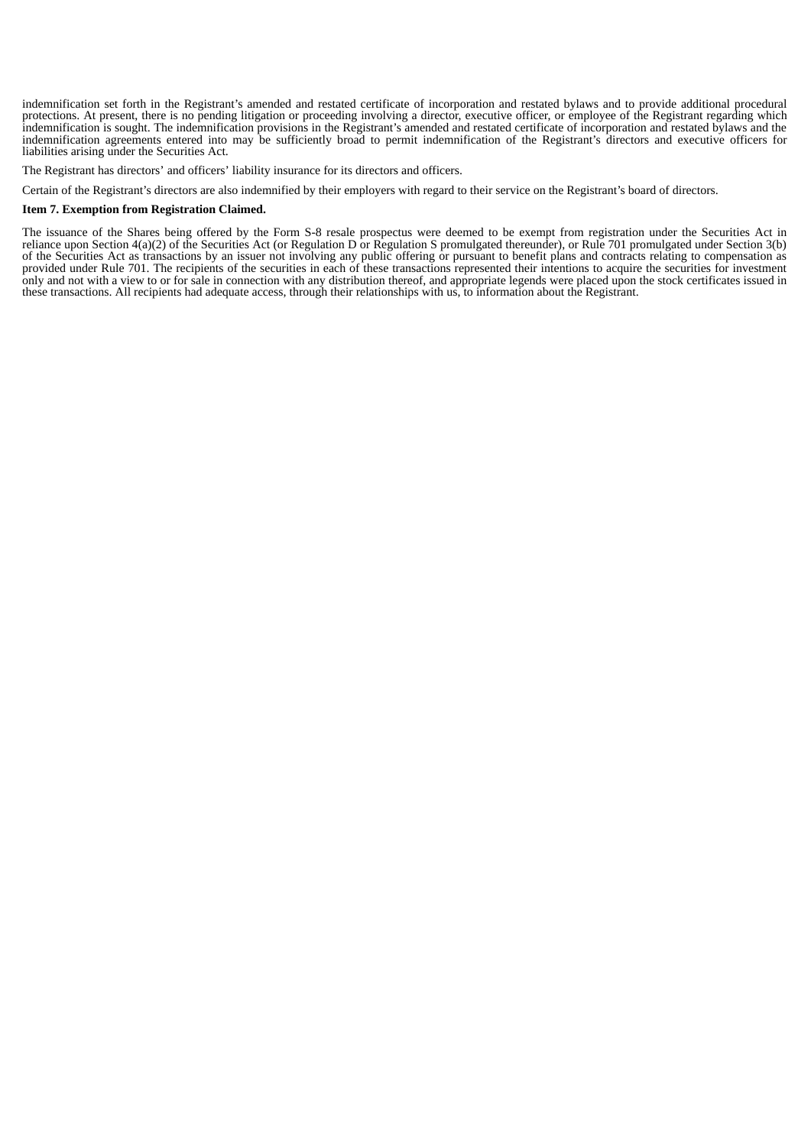indemnification set forth in the Registrant's amended and restated certificate of incorporation and restated bylaws and to provide additional procedural protections. At present, there is no pending litigation or proceeding involving a director, executive officer, or employee of the Registrant regarding which indemnification is sought. The indemnification provisions in the Registrant's amended and restated certificate of incorporation and restated bylaws and the indemnification agreements entered into may be sufficiently broad to permit indemnification of the Registrant's directors and executive officers for liabilities arising under the Securities Act.

The Registrant has directors' and officers' liability insurance for its directors and officers.

Certain of the Registrant's directors are also indemnified by their employers with regard to their service on the Registrant's board of directors.

#### **Item 7. Exemption from Registration Claimed.**

The issuance of the Shares being offered by the Form S-8 resale prospectus were deemed to be exempt from registration under the Securities Act in reliance upon Section 4(a)(2) of the Securities Act (or Regulation D or Regulation S promulgated thereunder), or Rule 701 promulgated under Section 3(b) of the Securities Act as transactions by an issuer not involving any public offering or pursuant to benefit plans and contracts relating to compensation as provided under Rule 701. The recipients of the securities in each of these transactions represented their intentions to acquire the securities for investment only and not with a view to or for sale in connection with any distribution thereof, and appropriate legends were placed upon the stock certificates issued in these transactions. All recipients had adequate access, through their relationships with us, to information about the Registrant.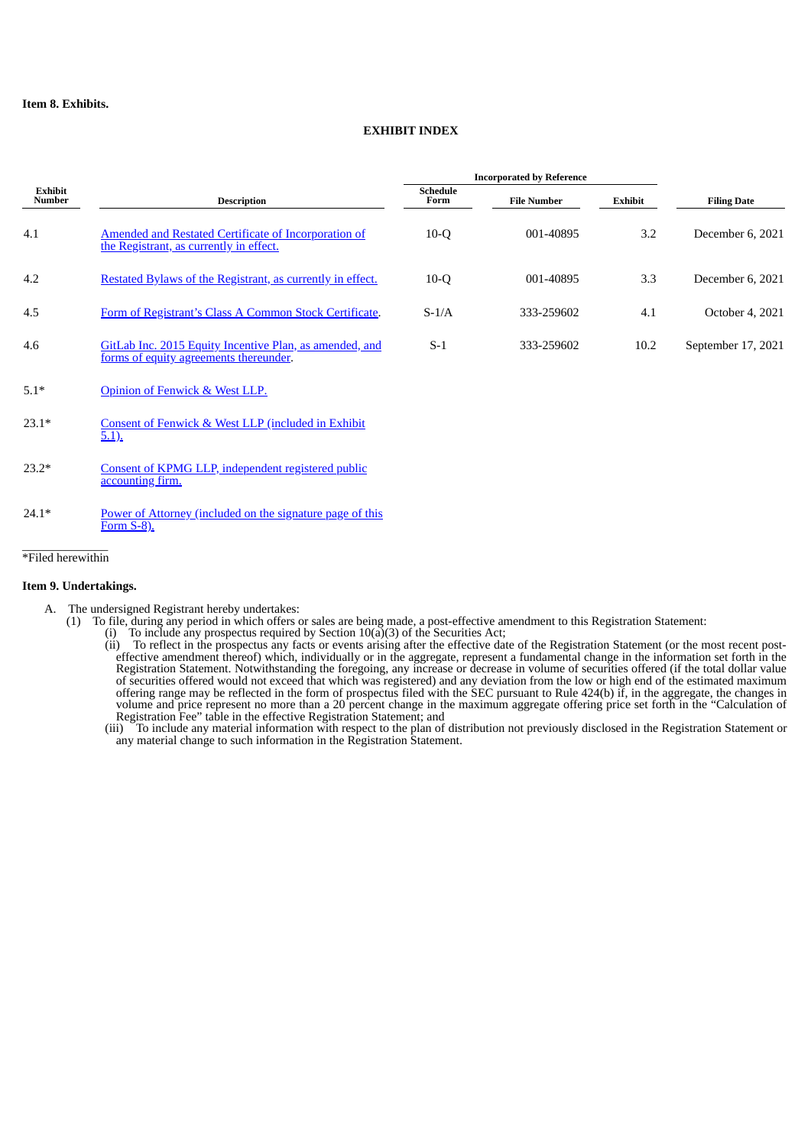# **EXHIBIT INDEX**

|                          |                                                                                                   | <b>Incorporated by Reference</b> |                    |         |                    |
|--------------------------|---------------------------------------------------------------------------------------------------|----------------------------------|--------------------|---------|--------------------|
| <b>Exhibit</b><br>Number | <b>Description</b>                                                                                | <b>Schedule</b><br>Form          | <b>File Number</b> | Exhibit | <b>Filing Date</b> |
| 4.1                      | Amended and Restated Certificate of Incorporation of<br>the Registrant, as currently in effect.   | $10-Q$                           | 001-40895          | 3.2     | December 6, 2021   |
| 4.2                      | Restated Bylaws of the Registrant, as currently in effect.                                        | $10-Q$                           | 001-40895          | 3.3     | December 6, 2021   |
| 4.5                      | Form of Registrant's Class A Common Stock Certificate.                                            | $S-1/A$                          | 333-259602         | 4.1     | October 4, 2021    |
| 4.6                      | GitLab Inc. 2015 Equity Incentive Plan, as amended, and<br>forms of equity agreements thereunder. | $S-1$                            | 333-259602         | 10.2    | September 17, 2021 |
| $5.1*$                   | Opinion of Fenwick & West LLP.                                                                    |                                  |                    |         |                    |

- 23.1\* Consent of Fenwick & West LLP [\(included](#page-25-0) in Exhibit  $5.1$ [\).](#page-25-0)
- 23.2\* Consent of KPMG LLP, [independent](#page-27-0) registered public accounting fir[m.](#page-27-0)
- 24.1\* Power of Attorney [\(included](#page-23-0) on the signature page of this Form S-8[\).](#page-23-0)

#### \_\_\_\_\_\_\_\_\_\_\_\_\_\_ \*Filed herewithin

# **Item 9. Undertakings.**

- A. The undersigned Registrant hereby undertakes:
	- (1) To file, during any period in which offers or sales are being made, a post-effective amendment to this Registration Statement:
		- (i) To include any prospectus required by Section  $10(a)(3)$  of the Securities Act;
			- To reflect in the prospectus any facts or events arising after the effective date of the Registration Statement (or the most recent posteffective amendment thereof) which, individually or in the aggregate, represent a fundamental change in the information set forth in the Registration Statement. Notwithstanding the foregoing, any increase or decrease in volume of securities offered (if the total dollar value of securities offered would not exceed that which was registered) and any deviation from the low or high end of the estimated maximum offering range may be reflected in the form of prospectus filed with the SEC pursuant to Rule 424(b) if, in the aggregate, the changes in volume and price represent no more than a 20 percent change in the maximum aggregate offering price set forth in the "Calculation of Registration Fee" table in the effective Registration Statement; and

(iii) To include any material information with respect to the plan of distribution not previously disclosed in the Registration Statement or any material change to such information in the Registration Statement.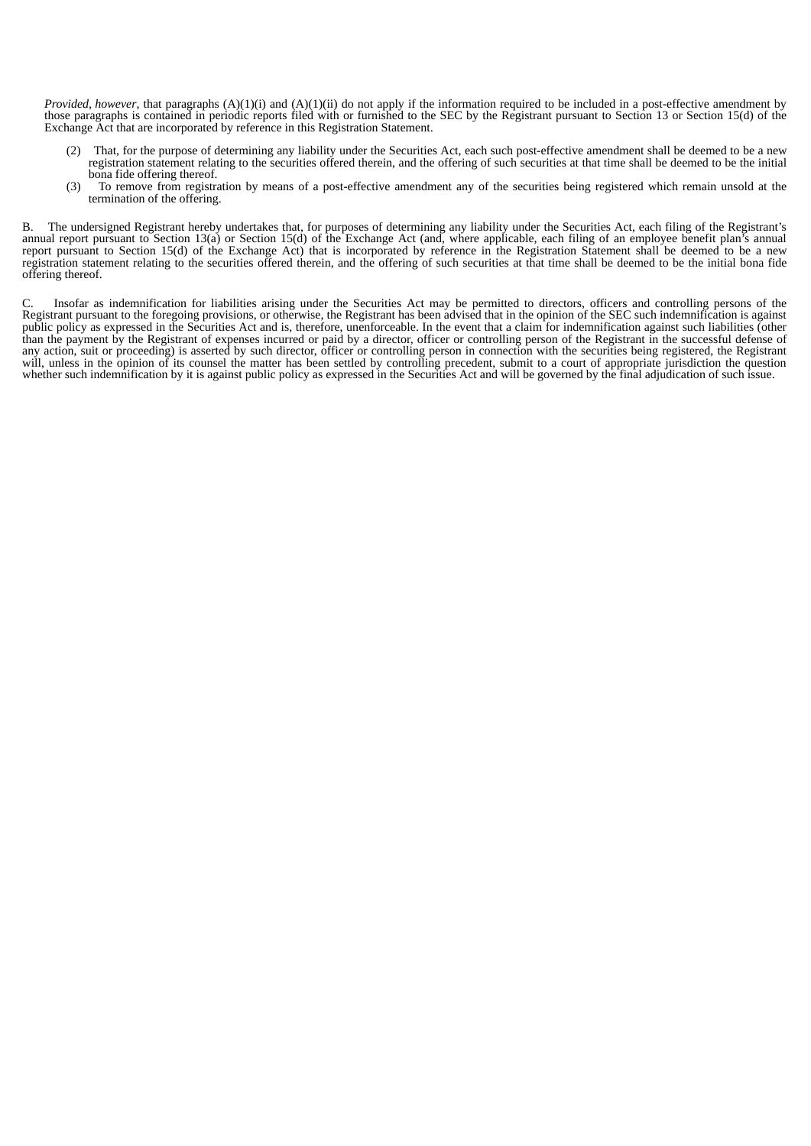*Provided, however*, that paragraphs (A)(1)(i) and (A)(1)(ii) do not apply if the information required to be included in a post-effective amendment by those paragraphs is contained in periodic reports filed with or furnished to the SEC by the Registrant pursuant to Section 13 or Section 15(d) of the Exchange Act that are incorporated by reference in this Registration Statement.

- That, for the purpose of determining any liability under the Securities Act, each such post-effective amendment shall be deemed to be a new registration statement relating to the securities offered therein, and the offering of such securities at that time shall be deemed to be the initial bona fide offering thereof.
- (3) To remove from registration by means of a post-effective amendment any of the securities being registered which remain unsold at the termination of the offering.

B. The undersigned Registrant hereby undertakes that, for purposes of determining any liability under the Securities Act, each filing of the Registrant's annual report pursuant to Section 13(a) or Section 15(d) of the Exchange Act (and, where applicable, each filing of an employee benefit plan's annual report pursuant to Section 15(d) of the Exchange Act) that is incorporated by reference in the Registration Statement shall be deemed to be a new registration statement relating to the securities offered therein, and the offering of such securities at that time shall be deemed to be the initial bona fide offering thereof.

C. Insofar as indemnification for liabilities arising under the Securities Act may be permitted to directors, officers and controlling persons of the Registrant pursuant to the foregoing provisions, or otherwise, the Registrant has been advised that in the opinion of the SEC such indemnification is against public policy as expressed in the Securities Act and is, therefore, unenforceable. In the event that a claim for indemnification against such liabilities (other than the payment by the Registrant of expenses incurred or paid by a director, officer or controlling person of the Registrant in the successful defense of any action, suit or proceeding) is asserted by such director, officer or controlling person in connection with the securities being registered, the Registrant will, unless in the opinion of its counsel the matter has been settled by controlling precedent, submit to a court of appropriate jurisdiction the question whether such indemnification by it is against public policy as expressed in the Securities Act and will be governed by the final adjudication of such issue.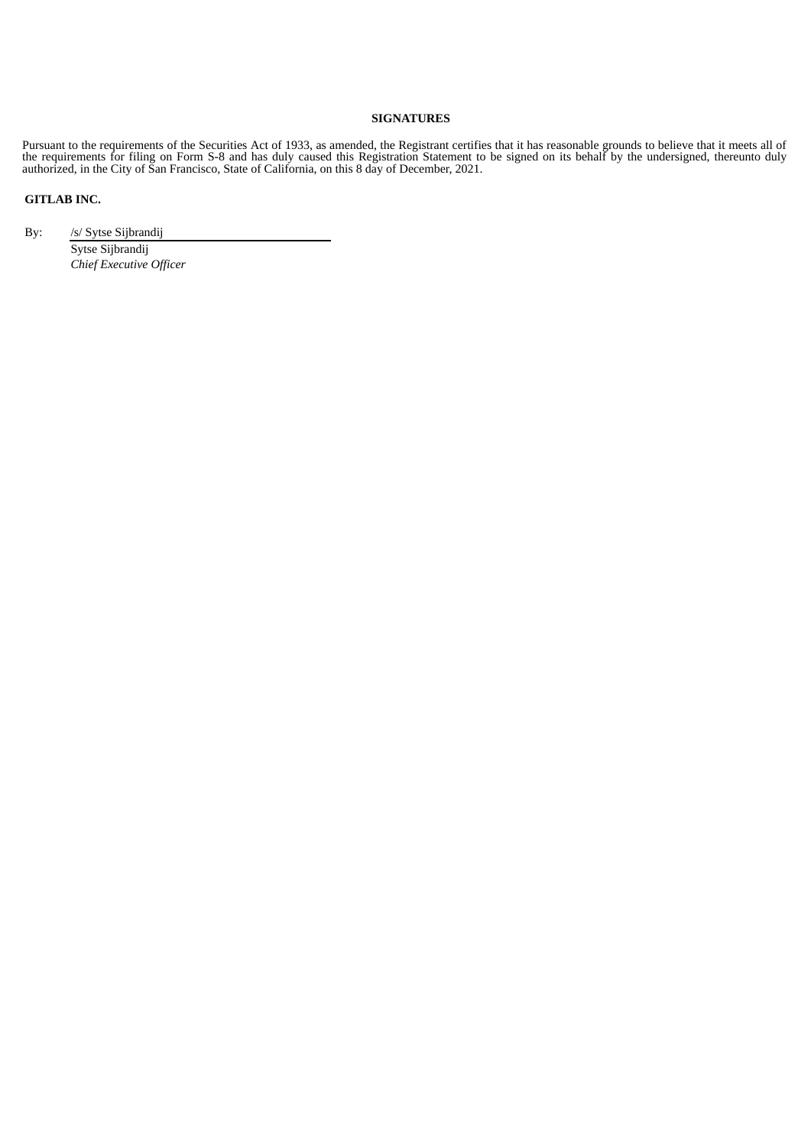# **SIGNATURES**

Pursuant to the requirements of the Securities Act of 1933, as amended, the Registrant certifies that it has reasonable grounds to believe that it meets all of the requirements for filing on Form S-8 and has duly caused this Registration Statement to be signed on its behalf by the undersigned, thereunto duly authorized, in the City of San Francisco, State of California, on this 8 day of December, 2021.

# **GITLAB INC.**

By: /s/ Sytse Sijbrandij

<span id="page-23-0"></span>Sytse Sijbrandij *Chief Executive Officer*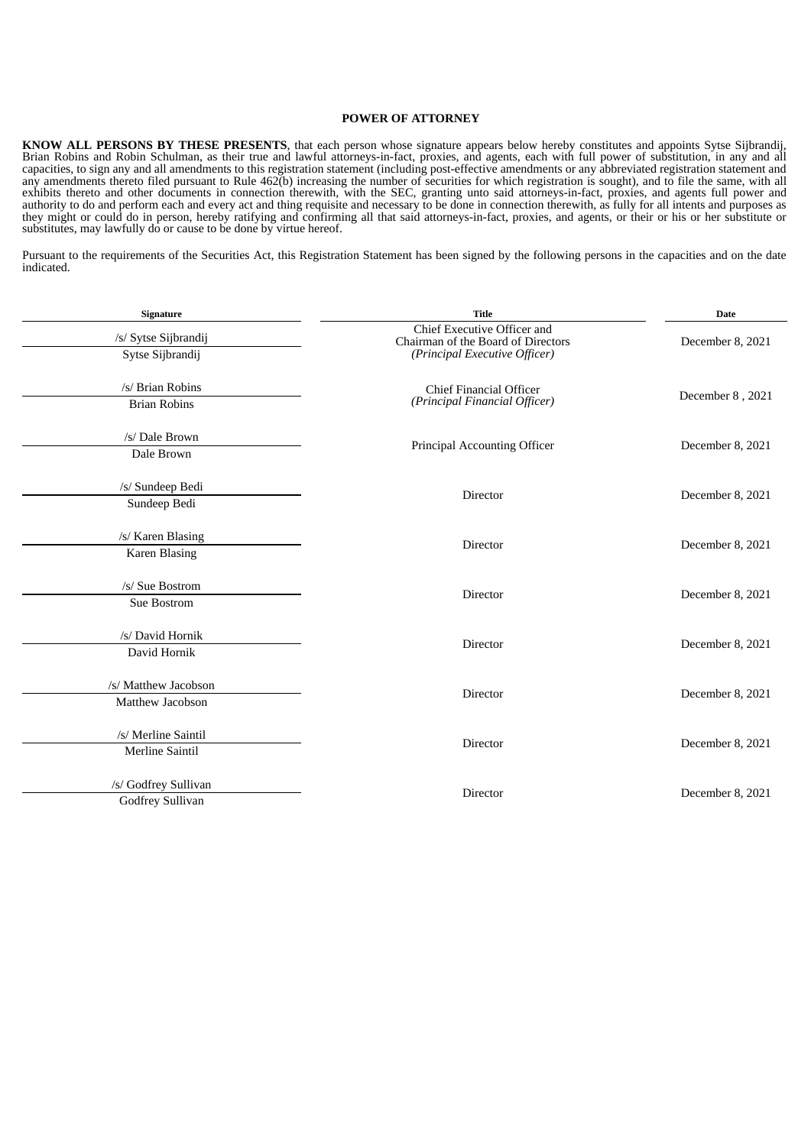### **POWER OF ATTORNEY**

**KNOW ALL PERSONS BY THESE PRESENTS**, that each person whose signature appears below hereby constitutes and appoints Sytse Sijbrandij, Brian Robins and Robin Schulman, as their true and lawful attorneys-in-fact, proxies, and agents, each with full power of substitution, in any and all capacities, to sign any and all amendments to this registration statement (including post-effective amendments or any abbreviated registration statement and any amendments thereto filed pursuant to Rule 462(b) increasing the number of securities for which registration is sought), and to file the same, with all exhibits thereto and other documents in connection therewith, with the SEC, granting unto said attorneys-in-fact, proxies, and agents full power and authority to do and perform each and every act and thing requisite and necessary to be done in connection therewith, as fully for all intents and purposes as they might or could do in person, hereby ratifying and confirming all that said attorneys-in-fact, proxies, and agents, or their or his or her substitute or substitutes, may lawfully do or cause to be done by virtue hereof.

Pursuant to the requirements of the Securities Act, this Registration Statement has been signed by the following persons in the capacities and on the date indicated.

| Signature              | <b>Title</b>                                                      | <b>Date</b>      |  |
|------------------------|-------------------------------------------------------------------|------------------|--|
| /s/ Sytse Sijbrandij   | Chief Executive Officer and<br>Chairman of the Board of Directors | December 8, 2021 |  |
| Sytse Sijbrandij       | (Principal Executive Officer)                                     |                  |  |
| /s/ Brian Robins       | <b>Chief Financial Officer</b>                                    | December 8, 2021 |  |
| <b>Brian Robins</b>    | (Principal Financial Officer)                                     |                  |  |
| /s/ Dale Brown         | Principal Accounting Officer                                      | December 8, 2021 |  |
| Dale Brown             |                                                                   |                  |  |
| /s/ Sundeep Bedi       | Director                                                          |                  |  |
| Sundeep Bedi           |                                                                   | December 8, 2021 |  |
| /s/ Karen Blasing      | Director                                                          | December 8, 2021 |  |
| <b>Karen Blasing</b>   |                                                                   |                  |  |
| /s/ Sue Bostrom        |                                                                   |                  |  |
| Sue Bostrom            | Director                                                          | December 8, 2021 |  |
| /s/ David Hornik       | Director                                                          | December 8, 2021 |  |
| David Hornik           |                                                                   |                  |  |
| /s/ Matthew Jacobson   | Director                                                          | December 8, 2021 |  |
| Matthew Jacobson       |                                                                   |                  |  |
| /s/ Merline Saintil    | Director                                                          | December 8, 2021 |  |
| <b>Merline Saintil</b> |                                                                   |                  |  |
| /s/ Godfrey Sullivan   | Director                                                          | December 8, 2021 |  |
| Godfrey Sullivan       |                                                                   |                  |  |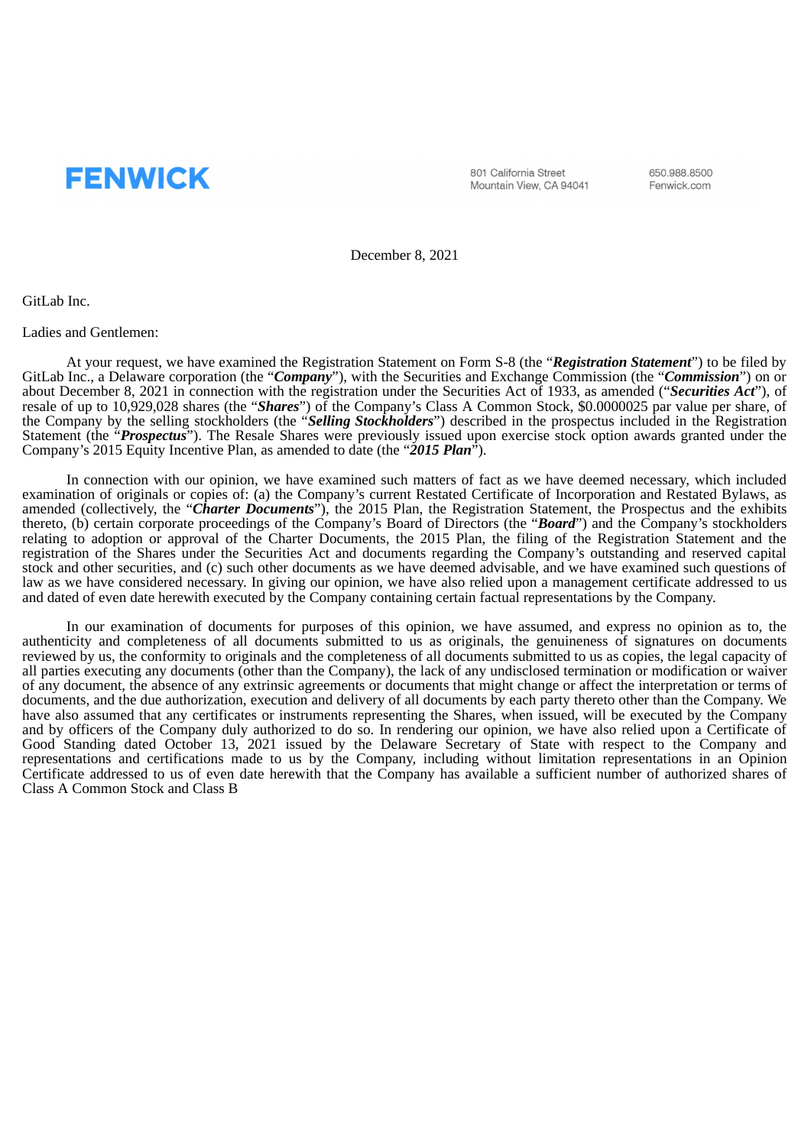<span id="page-25-0"></span>

801 California Street Mountain View, CA 94041 650.988.8500 Fenwick.com

December 8, 2021

GitLab Inc.

Ladies and Gentlemen:

At your request, we have examined the Registration Statement on Form S-8 (the "*Registration Statement*") to be filed by GitLab Inc., a Delaware corporation (the "*Company*"), with the Securities and Exchange Commission (the "*Commission*") on or about December 8, 2021 in connection with the registration under the Securities Act of 1933, as amended ("*Securities Act*"), of resale of up to 10,929,028 shares (the "*Shares*") of the Company's Class A Common Stock, \$0.0000025 par value per share, of the Company by the selling stockholders (the "*Selling Stockholders*") described in the prospectus included in the Registration Statement (the "*Prospectus*"). The Resale Shares were previously issued upon exercise stock option awards granted under the Company's 2015 Equity Incentive Plan, as amended to date (the "*2015 Plan*").

In connection with our opinion, we have examined such matters of fact as we have deemed necessary, which included examination of originals or copies of: (a) the Company's current Restated Certificate of Incorporation and Restated Bylaws, as amended (collectively, the "*Charter Documents*"), the 2015 Plan, the Registration Statement, the Prospectus and the exhibits thereto, (b) certain corporate proceedings of the Company's Board of Directors (the "*Board*") and the Company's stockholders relating to adoption or approval of the Charter Documents, the 2015 Plan, the filing of the Registration Statement and the registration of the Shares under the Securities Act and documents regarding the Company's outstanding and reserved capital stock and other securities, and (c) such other documents as we have deemed advisable, and we have examined such questions of law as we have considered necessary. In giving our opinion, we have also relied upon a management certificate addressed to us and dated of even date herewith executed by the Company containing certain factual representations by the Company.

In our examination of documents for purposes of this opinion, we have assumed, and express no opinion as to, the authenticity and completeness of all documents submitted to us as originals, the genuineness of signatures on documents reviewed by us, the conformity to originals and the completeness of all documents submitted to us as copies, the legal capacity of all parties executing any documents (other than the Company), the lack of any undisclosed termination or modification or waiver of any document, the absence of any extrinsic agreements or documents that might change or affect the interpretation or terms of documents, and the due authorization, execution and delivery of all documents by each party thereto other than the Company. We have also assumed that any certificates or instruments representing the Shares, when issued, will be executed by the Company and by officers of the Company duly authorized to do so. In rendering our opinion, we have also relied upon a Certificate of Good Standing dated October 13, 2021 issued by the Delaware Secretary of State with respect to the Company and representations and certifications made to us by the Company, including without limitation representations in an Opinion Certificate addressed to us of even date herewith that the Company has available a sufficient number of authorized shares of Class A Common Stock and Class B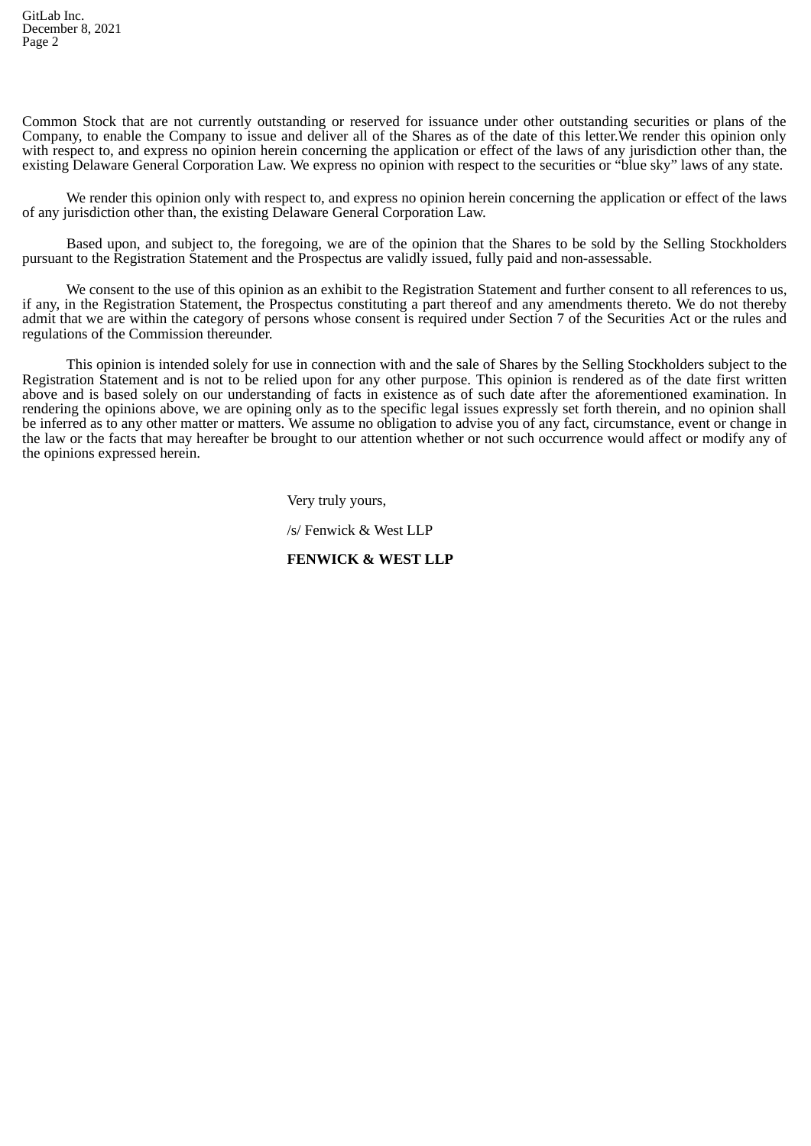Common Stock that are not currently outstanding or reserved for issuance under other outstanding securities or plans of the Company, to enable the Company to issue and deliver all of the Shares as of the date of this letter. We render this opinion only with respect to, and express no opinion herein concerning the application or effect of the laws of any jurisdiction other than, the existing Delaware General Corporation Law. We express no opinion with respect to the securities or "blue sky" laws of any state.

We render this opinion only with respect to, and express no opinion herein concerning the application or effect of the laws of any jurisdiction other than, the existing Delaware General Corporation Law.

Based upon, and subject to, the foregoing, we are of the opinion that the Shares to be sold by the Selling Stockholders pursuant to the Registration Statement and the Prospectus are validly issued, fully paid and non-assessable.

We consent to the use of this opinion as an exhibit to the Registration Statement and further consent to all references to us, if any, in the Registration Statement, the Prospectus constituting a part thereof and any amendments thereto. We do not thereby admit that we are within the category of persons whose consent is required under Section 7 of the Securities Act or the rules and regulations of the Commission thereunder.

This opinion is intended solely for use in connection with and the sale of Shares by the Selling Stockholders subject to the Registration Statement and is not to be relied upon for any other purpose. This opinion is rendered as of the date first written above and is based solely on our understanding of facts in existence as of such date after the aforementioned examination. In rendering the opinions above, we are opining only as to the specific legal issues expressly set forth therein, and no opinion shall be inferred as to any other matter or matters. We assume no obligation to advise you of any fact, circumstance, event or change in the law or the facts that may hereafter be brought to our attention whether or not such occurrence would affect or modify any of the opinions expressed herein.

Very truly yours,

/s/ Fenwick & West LLP

# **FENWICK & WEST LLP**